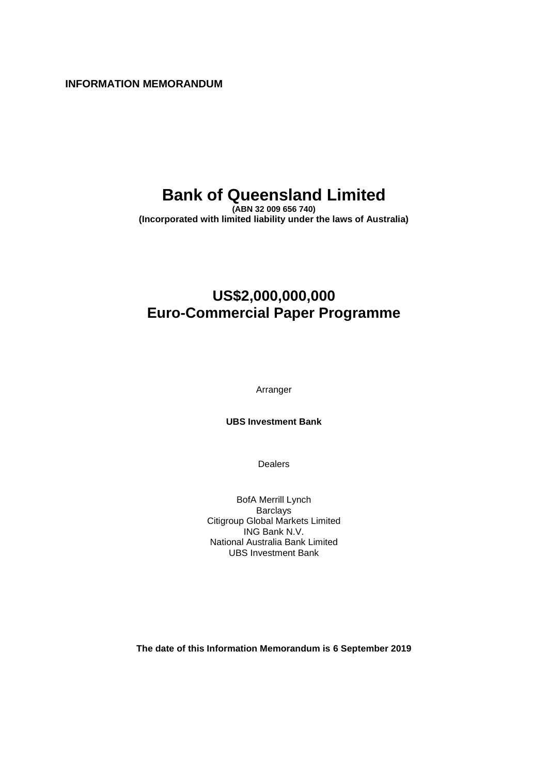**INFORMATION MEMORANDUM**

## **Bank of Queensland Limited**

**(ABN 32 009 656 740) (Incorporated with limited liability under the laws of Australia)**

## **US\$2,000,000,000 Euro-Commercial Paper Programme**

Arranger

**UBS Investment Bank**

Dealers

BofA Merrill Lynch **Barclays** Citigroup Global Markets Limited ING Bank N.V. National Australia Bank Limited UBS Investment Bank

**The date of this Information Memorandum is 6 September 2019**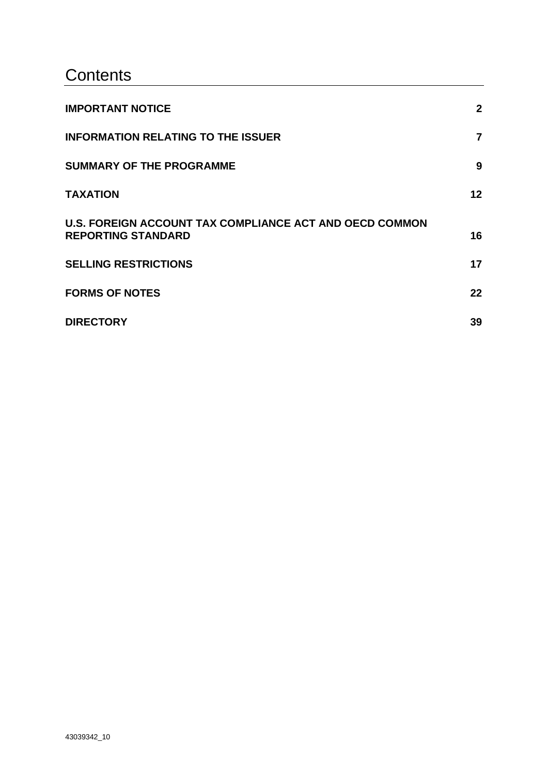## **Contents**

| <b>IMPORTANT NOTICE</b>                                                                     | $\mathbf{2}$ |
|---------------------------------------------------------------------------------------------|--------------|
| <b>INFORMATION RELATING TO THE ISSUER</b>                                                   | 7            |
| <b>SUMMARY OF THE PROGRAMME</b>                                                             | 9            |
| <b>TAXATION</b>                                                                             | 12           |
| <b>U.S. FOREIGN ACCOUNT TAX COMPLIANCE ACT AND OECD COMMON</b><br><b>REPORTING STANDARD</b> | 16           |
| <b>SELLING RESTRICTIONS</b>                                                                 | 17           |
| <b>FORMS OF NOTES</b>                                                                       | 22           |
| <b>DIRECTORY</b>                                                                            | 39           |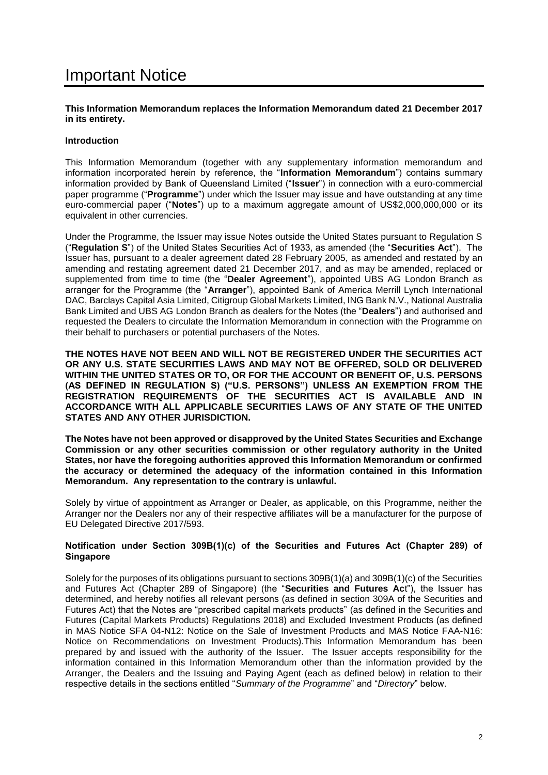## <span id="page-2-0"></span>Important Notice

#### **This Information Memorandum replaces the Information Memorandum dated 21 December 2017 in its entirety.**

## **Introduction**

This Information Memorandum (together with any supplementary information memorandum and information incorporated herein by reference, the "**Information Memorandum**") contains summary information provided by Bank of Queensland Limited ("**Issuer**") in connection with a euro-commercial paper programme ("**Programme**") under which the Issuer may issue and have outstanding at any time euro-commercial paper ("**Notes**") up to a maximum aggregate amount of US\$2,000,000,000 or its equivalent in other currencies.

Under the Programme, the Issuer may issue Notes outside the United States pursuant to Regulation S ("**Regulation S**") of the United States Securities Act of 1933, as amended (the "**Securities Act**"). The Issuer has, pursuant to a dealer agreement dated 28 February 2005, as amended and restated by an amending and restating agreement dated 21 December 2017, and as may be amended, replaced or supplemented from time to time (the "**Dealer Agreement**"), appointed UBS AG London Branch as arranger for the Programme (the "**Arranger**"), appointed Bank of America Merrill Lynch International DAC, Barclays Capital Asia Limited, Citigroup Global Markets Limited, ING Bank N.V., National Australia Bank Limited and UBS AG London Branch as dealers for the Notes (the "**Dealers**") and authorised and requested the Dealers to circulate the Information Memorandum in connection with the Programme on their behalf to purchasers or potential purchasers of the Notes.

**THE NOTES HAVE NOT BEEN AND WILL NOT BE REGISTERED UNDER THE SECURITIES ACT OR ANY U.S. STATE SECURITIES LAWS AND MAY NOT BE OFFERED, SOLD OR DELIVERED WITHIN THE UNITED STATES OR TO, OR FOR THE ACCOUNT OR BENEFIT OF, U.S. PERSONS (AS DEFINED IN REGULATION S) ("U.S. PERSONS") UNLESS AN EXEMPTION FROM THE REGISTRATION REQUIREMENTS OF THE SECURITIES ACT IS AVAILABLE AND IN ACCORDANCE WITH ALL APPLICABLE SECURITIES LAWS OF ANY STATE OF THE UNITED STATES AND ANY OTHER JURISDICTION.**

**The Notes have not been approved or disapproved by the United States Securities and Exchange Commission or any other securities commission or other regulatory authority in the United States, nor have the foregoing authorities approved this Information Memorandum or confirmed the accuracy or determined the adequacy of the information contained in this Information Memorandum. Any representation to the contrary is unlawful.**

Solely by virtue of appointment as Arranger or Dealer, as applicable, on this Programme, neither the Arranger nor the Dealers nor any of their respective affiliates will be a manufacturer for the purpose of EU Delegated Directive 2017/593.

#### **Notification under Section 309B(1)(c) of the Securities and Futures Act (Chapter 289) of Singapore**

Solely for the purposes of its obligations pursuant to sections 309B(1)(a) and 309B(1)(c) of the Securities and Futures Act (Chapter 289 of Singapore) (the "**Securities and Futures Ac**t"), the Issuer has determined, and hereby notifies all relevant persons (as defined in section 309A of the Securities and Futures Act) that the Notes are "prescribed capital markets products" (as defined in the Securities and Futures (Capital Markets Products) Regulations 2018) and Excluded Investment Products (as defined in MAS Notice SFA 04-N12: Notice on the Sale of Investment Products and MAS Notice FAA-N16: Notice on Recommendations on Investment Products).This Information Memorandum has been prepared by and issued with the authority of the Issuer. The Issuer accepts responsibility for the information contained in this Information Memorandum other than the information provided by the Arranger, the Dealers and the Issuing and Paying Agent (each as defined below) in relation to their respective details in the sections entitled "*Summary of the Programme*" and "*Directory*" below.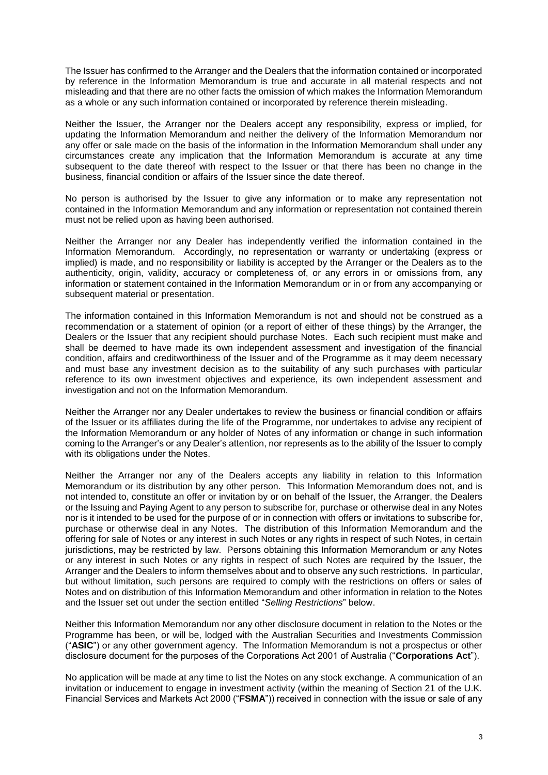The Issuer has confirmed to the Arranger and the Dealers that the information contained or incorporated by reference in the Information Memorandum is true and accurate in all material respects and not misleading and that there are no other facts the omission of which makes the Information Memorandum as a whole or any such information contained or incorporated by reference therein misleading.

Neither the Issuer, the Arranger nor the Dealers accept any responsibility, express or implied, for updating the Information Memorandum and neither the delivery of the Information Memorandum nor any offer or sale made on the basis of the information in the Information Memorandum shall under any circumstances create any implication that the Information Memorandum is accurate at any time subsequent to the date thereof with respect to the Issuer or that there has been no change in the business, financial condition or affairs of the Issuer since the date thereof.

No person is authorised by the Issuer to give any information or to make any representation not contained in the Information Memorandum and any information or representation not contained therein must not be relied upon as having been authorised.

Neither the Arranger nor any Dealer has independently verified the information contained in the Information Memorandum. Accordingly, no representation or warranty or undertaking (express or implied) is made, and no responsibility or liability is accepted by the Arranger or the Dealers as to the authenticity, origin, validity, accuracy or completeness of, or any errors in or omissions from, any information or statement contained in the Information Memorandum or in or from any accompanying or subsequent material or presentation.

The information contained in this Information Memorandum is not and should not be construed as a recommendation or a statement of opinion (or a report of either of these things) by the Arranger, the Dealers or the Issuer that any recipient should purchase Notes. Each such recipient must make and shall be deemed to have made its own independent assessment and investigation of the financial condition, affairs and creditworthiness of the Issuer and of the Programme as it may deem necessary and must base any investment decision as to the suitability of any such purchases with particular reference to its own investment objectives and experience, its own independent assessment and investigation and not on the Information Memorandum.

Neither the Arranger nor any Dealer undertakes to review the business or financial condition or affairs of the Issuer or its affiliates during the life of the Programme, nor undertakes to advise any recipient of the Information Memorandum or any holder of Notes of any information or change in such information coming to the Arranger's or any Dealer's attention, nor represents as to the ability of the Issuer to comply with its obligations under the Notes.

Neither the Arranger nor any of the Dealers accepts any liability in relation to this Information Memorandum or its distribution by any other person. This Information Memorandum does not, and is not intended to, constitute an offer or invitation by or on behalf of the Issuer, the Arranger, the Dealers or the Issuing and Paying Agent to any person to subscribe for, purchase or otherwise deal in any Notes nor is it intended to be used for the purpose of or in connection with offers or invitations to subscribe for, purchase or otherwise deal in any Notes. The distribution of this Information Memorandum and the offering for sale of Notes or any interest in such Notes or any rights in respect of such Notes, in certain jurisdictions, may be restricted by law. Persons obtaining this Information Memorandum or any Notes or any interest in such Notes or any rights in respect of such Notes are required by the Issuer, the Arranger and the Dealers to inform themselves about and to observe any such restrictions. In particular, but without limitation, such persons are required to comply with the restrictions on offers or sales of Notes and on distribution of this Information Memorandum and other information in relation to the Notes and the Issuer set out under the section entitled "*Selling Restrictions*" below.

Neither this Information Memorandum nor any other disclosure document in relation to the Notes or the Programme has been, or will be, lodged with the Australian Securities and Investments Commission ("**ASIC**") or any other government agency. The Information Memorandum is not a prospectus or other disclosure document for the purposes of the Corporations Act 2001 of Australia ("**Corporations Act**").

No application will be made at any time to list the Notes on any stock exchange. A communication of an invitation or inducement to engage in investment activity (within the meaning of Section 21 of the U.K. Financial Services and Markets Act 2000 ("**FSMA**")) received in connection with the issue or sale of any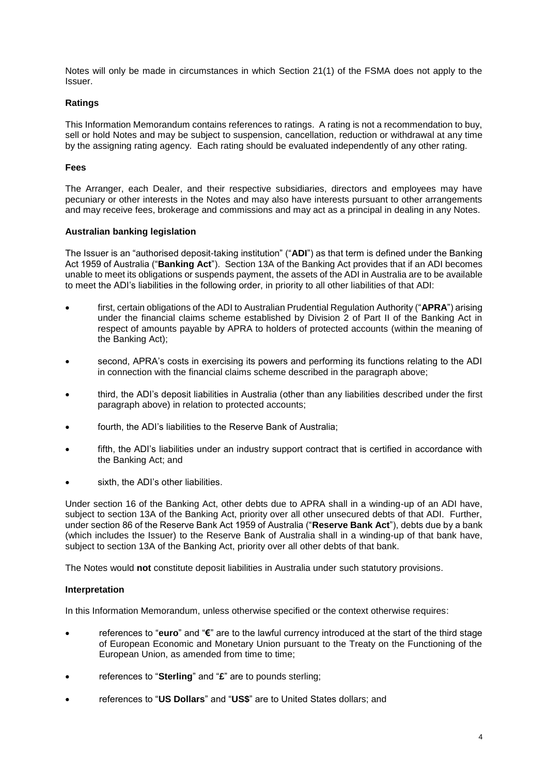Notes will only be made in circumstances in which Section 21(1) of the FSMA does not apply to the Issuer.

## **Ratings**

This Information Memorandum contains references to ratings. A rating is not a recommendation to buy, sell or hold Notes and may be subject to suspension, cancellation, reduction or withdrawal at any time by the assigning rating agency. Each rating should be evaluated independently of any other rating.

## **Fees**

The Arranger, each Dealer, and their respective subsidiaries, directors and employees may have pecuniary or other interests in the Notes and may also have interests pursuant to other arrangements and may receive fees, brokerage and commissions and may act as a principal in dealing in any Notes.

## **Australian banking legislation**

The Issuer is an "authorised deposit-taking institution" ("**ADI**") as that term is defined under the Banking Act 1959 of Australia ("**Banking Act**"). Section 13A of the Banking Act provides that if an ADI becomes unable to meet its obligations or suspends payment, the assets of the ADI in Australia are to be available to meet the ADI's liabilities in the following order, in priority to all other liabilities of that ADI:

- first, certain obligations of the ADI to Australian Prudential Regulation Authority ("**APRA**") arising under the financial claims scheme established by Division 2 of Part II of the Banking Act in respect of amounts payable by APRA to holders of protected accounts (within the meaning of the Banking Act);
- second, APRA's costs in exercising its powers and performing its functions relating to the ADI in connection with the financial claims scheme described in the paragraph above;
- third, the ADI's deposit liabilities in Australia (other than any liabilities described under the first paragraph above) in relation to protected accounts;
- fourth, the ADI's liabilities to the Reserve Bank of Australia;
- fifth, the ADI's liabilities under an industry support contract that is certified in accordance with the Banking Act; and
- sixth, the ADI's other liabilities.

Under section 16 of the Banking Act, other debts due to APRA shall in a winding-up of an ADI have, subject to section 13A of the Banking Act, priority over all other unsecured debts of that ADI. Further, under section 86 of the Reserve Bank Act 1959 of Australia ("**Reserve Bank Act**"), debts due by a bank (which includes the Issuer) to the Reserve Bank of Australia shall in a winding-up of that bank have, subject to section 13A of the Banking Act, priority over all other debts of that bank.

The Notes would **not** constitute deposit liabilities in Australia under such statutory provisions.

## **Interpretation**

In this Information Memorandum, unless otherwise specified or the context otherwise requires:

- references to "**euro**" and "**€**" are to the lawful currency introduced at the start of the third stage of European Economic and Monetary Union pursuant to the Treaty on the Functioning of the European Union, as amended from time to time;
- references to "**Sterling**" and "**£**" are to pounds sterling;
- references to "**US Dollars**" and "**US\$**" are to United States dollars; and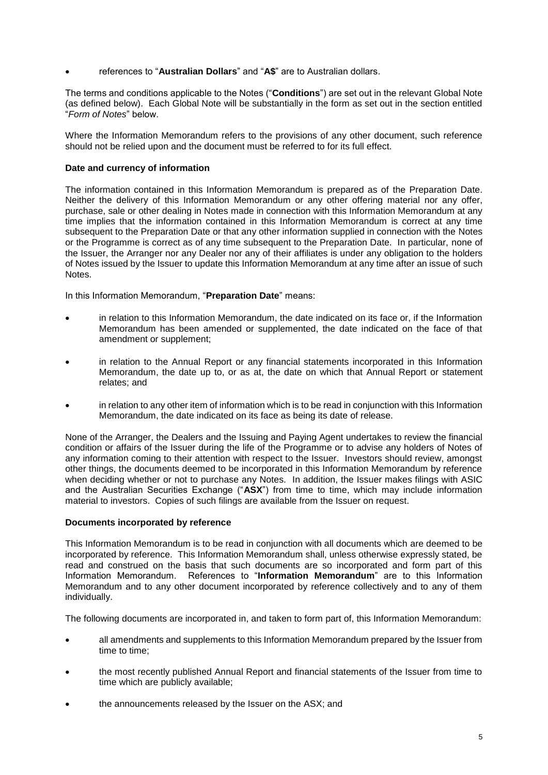• references to "**Australian Dollars**" and "**A\$**" are to Australian dollars.

The terms and conditions applicable to the Notes ("**Conditions**") are set out in the relevant Global Note (as defined below). Each Global Note will be substantially in the form as set out in the section entitled "*Form of Notes*" below.

Where the Information Memorandum refers to the provisions of any other document, such reference should not be relied upon and the document must be referred to for its full effect.

## **Date and currency of information**

The information contained in this Information Memorandum is prepared as of the Preparation Date. Neither the delivery of this Information Memorandum or any other offering material nor any offer, purchase, sale or other dealing in Notes made in connection with this Information Memorandum at any time implies that the information contained in this Information Memorandum is correct at any time subsequent to the Preparation Date or that any other information supplied in connection with the Notes or the Programme is correct as of any time subsequent to the Preparation Date. In particular, none of the Issuer, the Arranger nor any Dealer nor any of their affiliates is under any obligation to the holders of Notes issued by the Issuer to update this Information Memorandum at any time after an issue of such Notes.

In this Information Memorandum, "**Preparation Date**" means:

- in relation to this Information Memorandum, the date indicated on its face or, if the Information Memorandum has been amended or supplemented, the date indicated on the face of that amendment or supplement;
- in relation to the Annual Report or any financial statements incorporated in this Information Memorandum, the date up to, or as at, the date on which that Annual Report or statement relates; and
- in relation to any other item of information which is to be read in conjunction with this Information Memorandum, the date indicated on its face as being its date of release.

None of the Arranger, the Dealers and the Issuing and Paying Agent undertakes to review the financial condition or affairs of the Issuer during the life of the Programme or to advise any holders of Notes of any information coming to their attention with respect to the Issuer. Investors should review, amongst other things, the documents deemed to be incorporated in this Information Memorandum by reference when deciding whether or not to purchase any Notes. In addition, the Issuer makes filings with ASIC and the Australian Securities Exchange ("**ASX**") from time to time, which may include information material to investors. Copies of such filings are available from the Issuer on request.

#### **Documents incorporated by reference**

This Information Memorandum is to be read in conjunction with all documents which are deemed to be incorporated by reference. This Information Memorandum shall, unless otherwise expressly stated, be read and construed on the basis that such documents are so incorporated and form part of this Information Memorandum. References to "**Information Memorandum**" are to this Information Memorandum and to any other document incorporated by reference collectively and to any of them individually.

The following documents are incorporated in, and taken to form part of, this Information Memorandum:

- all amendments and supplements to this Information Memorandum prepared by the Issuer from time to time;
- the most recently published Annual Report and financial statements of the Issuer from time to time which are publicly available;
- the announcements released by the Issuer on the ASX; and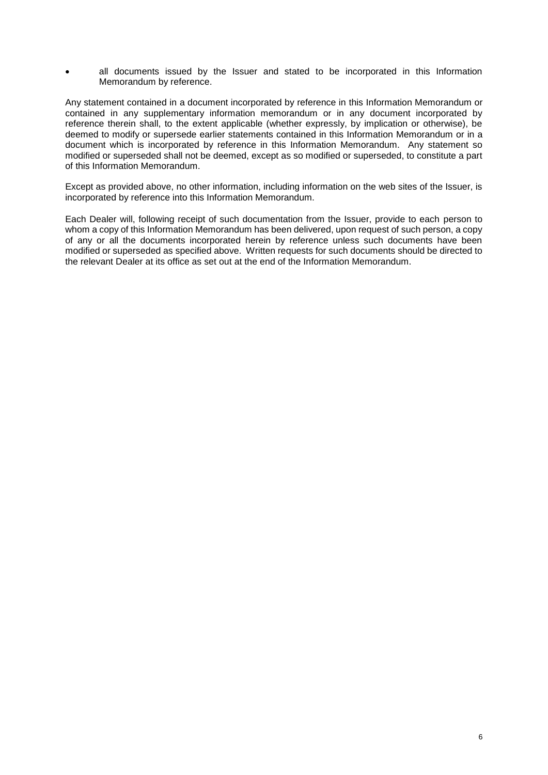all documents issued by the Issuer and stated to be incorporated in this Information Memorandum by reference.

Any statement contained in a document incorporated by reference in this Information Memorandum or contained in any supplementary information memorandum or in any document incorporated by reference therein shall, to the extent applicable (whether expressly, by implication or otherwise), be deemed to modify or supersede earlier statements contained in this Information Memorandum or in a document which is incorporated by reference in this Information Memorandum. Any statement so modified or superseded shall not be deemed, except as so modified or superseded, to constitute a part of this Information Memorandum.

Except as provided above, no other information, including information on the web sites of the Issuer, is incorporated by reference into this Information Memorandum.

Each Dealer will, following receipt of such documentation from the Issuer, provide to each person to whom a copy of this Information Memorandum has been delivered, upon request of such person, a copy of any or all the documents incorporated herein by reference unless such documents have been modified or superseded as specified above. Written requests for such documents should be directed to the relevant Dealer at its office as set out at the end of the Information Memorandum.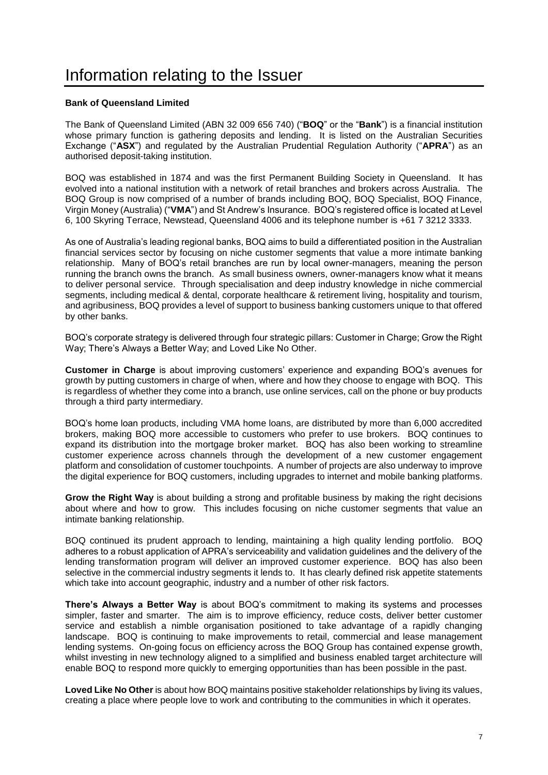## <span id="page-7-0"></span>Information relating to the Issuer

### **Bank of Queensland Limited**

The Bank of Queensland Limited (ABN 32 009 656 740) ("**BOQ**" or the "**Bank**") is a financial institution whose primary function is gathering deposits and lending. It is listed on the Australian Securities Exchange ("**ASX**") and regulated by the Australian Prudential Regulation Authority ("**APRA**") as an authorised deposit-taking institution.

BOQ was established in 1874 and was the first Permanent Building Society in Queensland. It has evolved into a national institution with a network of retail branches and brokers across Australia. The BOQ Group is now comprised of a number of brands including BOQ, BOQ Specialist, BOQ Finance, Virgin Money (Australia) ("**VMA**") and St Andrew's Insurance. BOQ's registered office is located at Level 6, 100 Skyring Terrace, Newstead, Queensland 4006 and its telephone number is +61 7 3212 3333.

As one of Australia's leading regional banks, BOQ aims to build a differentiated position in the Australian financial services sector by focusing on niche customer segments that value a more intimate banking relationship. Many of BOQ's retail branches are run by local owner-managers, meaning the person running the branch owns the branch. As small business owners, owner-managers know what it means to deliver personal service. Through specialisation and deep industry knowledge in niche commercial segments, including medical & dental, corporate healthcare & retirement living, hospitality and tourism, and agribusiness, BOQ provides a level of support to business banking customers unique to that offered by other banks.

BOQ's corporate strategy is delivered through four strategic pillars: Customer in Charge; Grow the Right Way; There's Always a Better Way; and Loved Like No Other.

**Customer in Charge** is about improving customers' experience and expanding BOQ's avenues for growth by putting customers in charge of when, where and how they choose to engage with BOQ. This is regardless of whether they come into a branch, use online services, call on the phone or buy products through a third party intermediary.

BOQ's home loan products, including VMA home loans, are distributed by more than 6,000 accredited brokers, making BOQ more accessible to customers who prefer to use brokers. BOQ continues to expand its distribution into the mortgage broker market. BOQ has also been working to streamline customer experience across channels through the development of a new customer engagement platform and consolidation of customer touchpoints. A number of projects are also underway to improve the digital experience for BOQ customers, including upgrades to internet and mobile banking platforms.

**Grow the Right Way** is about building a strong and profitable business by making the right decisions about where and how to grow. This includes focusing on niche customer segments that value an intimate banking relationship.

BOQ continued its prudent approach to lending, maintaining a high quality lending portfolio. BOQ adheres to a robust application of APRA's serviceability and validation guidelines and the delivery of the lending transformation program will deliver an improved customer experience. BOQ has also been selective in the commercial industry segments it lends to. It has clearly defined risk appetite statements which take into account geographic, industry and a number of other risk factors.

**There's Always a Better Way** is about BOQ's commitment to making its systems and processes simpler, faster and smarter. The aim is to improve efficiency, reduce costs, deliver better customer service and establish a nimble organisation positioned to take advantage of a rapidly changing landscape. BOQ is continuing to make improvements to retail, commercial and lease management lending systems. On-going focus on efficiency across the BOQ Group has contained expense growth, whilst investing in new technology aligned to a simplified and business enabled target architecture will enable BOQ to respond more quickly to emerging opportunities than has been possible in the past.

**Loved Like No Other** is about how BOQ maintains positive stakeholder relationships by living its values, creating a place where people love to work and contributing to the communities in which it operates.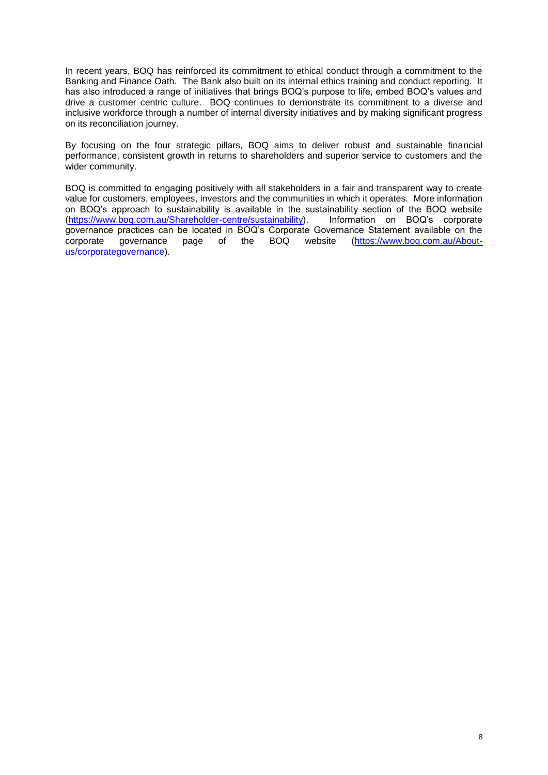In recent years, BOQ has reinforced its commitment to ethical conduct through a commitment to the Banking and Finance Oath. The Bank also built on its internal ethics training and conduct reporting. It has also introduced a range of initiatives that brings BOQ's purpose to life, embed BOQ's values and drive a customer centric culture. BOQ continues to demonstrate its commitment to a diverse and inclusive workforce through a number of internal diversity initiatives and by making significant progress on its reconciliation journey.

By focusing on the four strategic pillars, BOQ aims to deliver robust and sustainable financial performance, consistent growth in returns to shareholders and superior service to customers and the wider community.

BOQ is committed to engaging positively with all stakeholders in a fair and transparent way to create value for customers, employees, investors and the communities in which it operates. More information on BOQ's approach to sustainability is available in the sustainability section of the BOQ website<br>(https://www.bog.com.au/Shareholder-centre/sustainability). Information on BOQ's corporate [\(https://www.boq.com.au/Shareholder-centre/sustainability\)](https://www.boq.com.au/Shareholder-centre/sustainability). governance practices can be located in BOQ's Corporate Governance Statement available on the corporate governance page of the BOQ website (https://www.boq.com.au/About-governance page of the BOQ website [\(https://www.boq.com.au/About](https://www.boq.com.au/About-us/corporategovernance)[us/corporategovernance\)](https://www.boq.com.au/About-us/corporategovernance).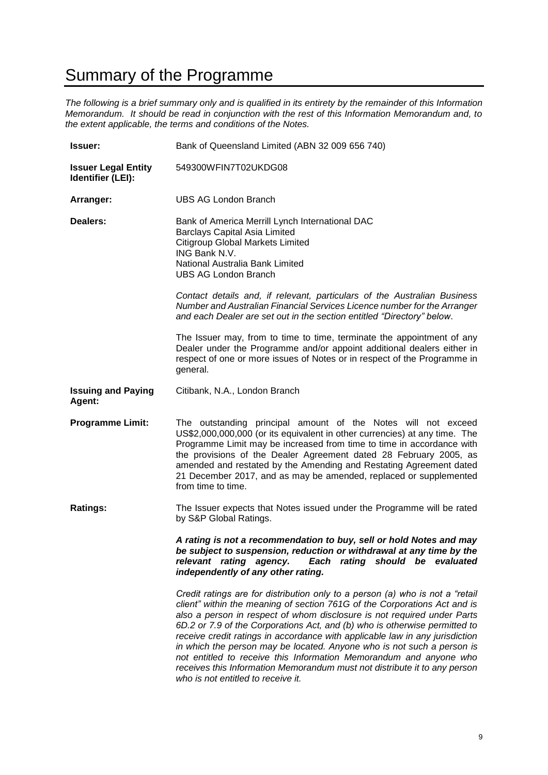## <span id="page-9-0"></span>Summary of the Programme

*The following is a brief summary only and is qualified in its entirety by the remainder of this Information Memorandum. It should be read in conjunction with the rest of this Information Memorandum and, to the extent applicable, the terms and conditions of the Notes.*

| <b>Issuer:</b>                                  | Bank of Queensland Limited (ABN 32 009 656 740)                                                                                                                                                                                                                                                                                                                                                                                                                               |  |  |  |
|-------------------------------------------------|-------------------------------------------------------------------------------------------------------------------------------------------------------------------------------------------------------------------------------------------------------------------------------------------------------------------------------------------------------------------------------------------------------------------------------------------------------------------------------|--|--|--|
| <b>Issuer Legal Entity</b><br>Identifier (LEI): | 549300WFIN7T02UKDG08                                                                                                                                                                                                                                                                                                                                                                                                                                                          |  |  |  |
| Arranger:                                       | <b>UBS AG London Branch</b>                                                                                                                                                                                                                                                                                                                                                                                                                                                   |  |  |  |
| Dealers:                                        | Bank of America Merrill Lynch International DAC<br><b>Barclays Capital Asia Limited</b><br><b>Citigroup Global Markets Limited</b><br>ING Bank N.V.<br>National Australia Bank Limited<br><b>UBS AG London Branch</b>                                                                                                                                                                                                                                                         |  |  |  |
|                                                 | Contact details and, if relevant, particulars of the Australian Business<br>Number and Australian Financial Services Licence number for the Arranger<br>and each Dealer are set out in the section entitled "Directory" below.                                                                                                                                                                                                                                                |  |  |  |
|                                                 | The Issuer may, from to time to time, terminate the appointment of any<br>Dealer under the Programme and/or appoint additional dealers either in<br>respect of one or more issues of Notes or in respect of the Programme in<br>general.                                                                                                                                                                                                                                      |  |  |  |
| <b>Issuing and Paying</b><br>Agent:             | Citibank, N.A., London Branch                                                                                                                                                                                                                                                                                                                                                                                                                                                 |  |  |  |
| <b>Programme Limit:</b>                         | The outstanding principal amount of the Notes will not exceed<br>US\$2,000,000,000 (or its equivalent in other currencies) at any time. The<br>Programme Limit may be increased from time to time in accordance with<br>the provisions of the Dealer Agreement dated 28 February 2005, as<br>amended and restated by the Amending and Restating Agreement dated<br>21 December 2017, and as may be amended, replaced or supplemented<br>from time to time.                    |  |  |  |
| <b>Ratings:</b>                                 | The Issuer expects that Notes issued under the Programme will be rated<br>by S&P Global Ratings.                                                                                                                                                                                                                                                                                                                                                                              |  |  |  |
|                                                 | A rating is not a recommendation to buy, sell or hold Notes and may<br>be subject to suspension, reduction or withdrawal at any time by the<br>Each rating should be evaluated<br>relevant rating agency.<br>independently of any other rating.                                                                                                                                                                                                                               |  |  |  |
|                                                 | Credit ratings are for distribution only to a person (a) who is not a "retail<br>client" within the meaning of section 761G of the Corporations Act and is<br>also a person in respect of whom disclosure is not required under Parts<br>6D.2 or 7.9 of the Corporations Act, and (b) who is otherwise permitted to<br>receive credit ratings in accordance with applicable law in any jurisdiction<br>in which the person may be located. Anyone who is not such a person is |  |  |  |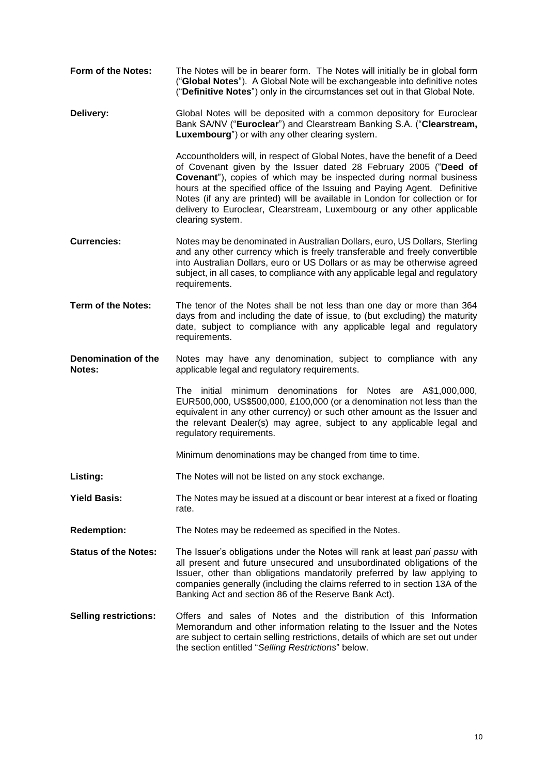- **Form of the Notes:** The Notes will be in bearer form. The Notes will initially be in global form ("**Global Notes**"). A Global Note will be exchangeable into definitive notes ("**Definitive Notes**") only in the circumstances set out in that Global Note.
- **Delivery:** Global Notes will be deposited with a common depository for Euroclear Bank SA/NV ("**Euroclear**") and Clearstream Banking S.A. ("**Clearstream, Luxembourg**") or with any other clearing system.

Accountholders will, in respect of Global Notes, have the benefit of a Deed of Covenant given by the Issuer dated 28 February 2005 ("**Deed of Covenant**"), copies of which may be inspected during normal business hours at the specified office of the Issuing and Paying Agent. Definitive Notes (if any are printed) will be available in London for collection or for delivery to Euroclear, Clearstream, Luxembourg or any other applicable clearing system.

- **Currencies:** Notes may be denominated in Australian Dollars, euro, US Dollars, Sterling and any other currency which is freely transferable and freely convertible into Australian Dollars, euro or US Dollars or as may be otherwise agreed subject, in all cases, to compliance with any applicable legal and regulatory requirements.
- **Term of the Notes:** The tenor of the Notes shall be not less than one day or more than 364 days from and including the date of issue, to (but excluding) the maturity date, subject to compliance with any applicable legal and regulatory requirements.
- **Denomination of the Notes:** Notes may have any denomination, subject to compliance with any applicable legal and regulatory requirements.

The initial minimum denominations for Notes are A\$1,000,000, EUR500,000, US\$500,000, £100,000 (or a denomination not less than the equivalent in any other currency) or such other amount as the Issuer and the relevant Dealer(s) may agree, subject to any applicable legal and regulatory requirements.

Minimum denominations may be changed from time to time.

- **Listing:** The Notes will not be listed on any stock exchange.
- **Yield Basis:** The Notes may be issued at a discount or bear interest at a fixed or floating rate.
- **Redemption:** The Notes may be redeemed as specified in the Notes.
- **Status of the Notes:** The Issuer's obligations under the Notes will rank at least *pari passu* with all present and future unsecured and unsubordinated obligations of the Issuer, other than obligations mandatorily preferred by law applying to companies generally (including the claims referred to in section 13A of the Banking Act and section 86 of the Reserve Bank Act).
- **Selling restrictions:** Offers and sales of Notes and the distribution of this Information Memorandum and other information relating to the Issuer and the Notes are subject to certain selling restrictions, details of which are set out under the section entitled "*Selling Restrictions*" below.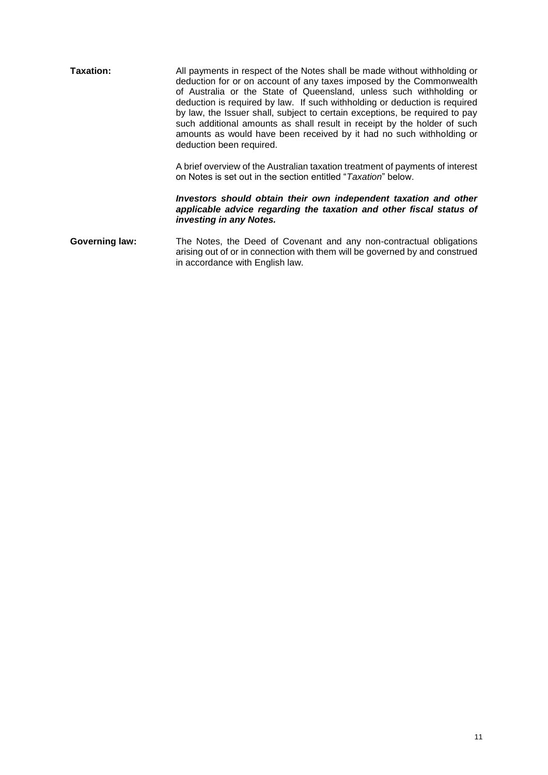| Taxation:             | All payments in respect of the Notes shall be made without withholding or<br>deduction for or on account of any taxes imposed by the Commonwealth<br>of Australia or the State of Queensland, unless such withholding or<br>deduction is required by law. If such withholding or deduction is required<br>by law, the Issuer shall, subject to certain exceptions, be required to pay<br>such additional amounts as shall result in receipt by the holder of such<br>amounts as would have been received by it had no such withholding or<br>deduction been required. |  |  |  |  |
|-----------------------|-----------------------------------------------------------------------------------------------------------------------------------------------------------------------------------------------------------------------------------------------------------------------------------------------------------------------------------------------------------------------------------------------------------------------------------------------------------------------------------------------------------------------------------------------------------------------|--|--|--|--|
|                       | A brief overview of the Australian taxation treatment of payments of interest<br>on Notes is set out in the section entitled " <i>Taxation</i> " below.                                                                                                                                                                                                                                                                                                                                                                                                               |  |  |  |  |
|                       | Investors should obtain their own independent taxation and other<br>applicable advice regarding the taxation and other fiscal status of<br>investing in any Notes.                                                                                                                                                                                                                                                                                                                                                                                                    |  |  |  |  |
| <b>Governing law:</b> | The Notes, the Deed of Covenant and any non-contractual obligations<br>arising out of or in connection with them will be governed by and construed<br>in accordance with English law.                                                                                                                                                                                                                                                                                                                                                                                 |  |  |  |  |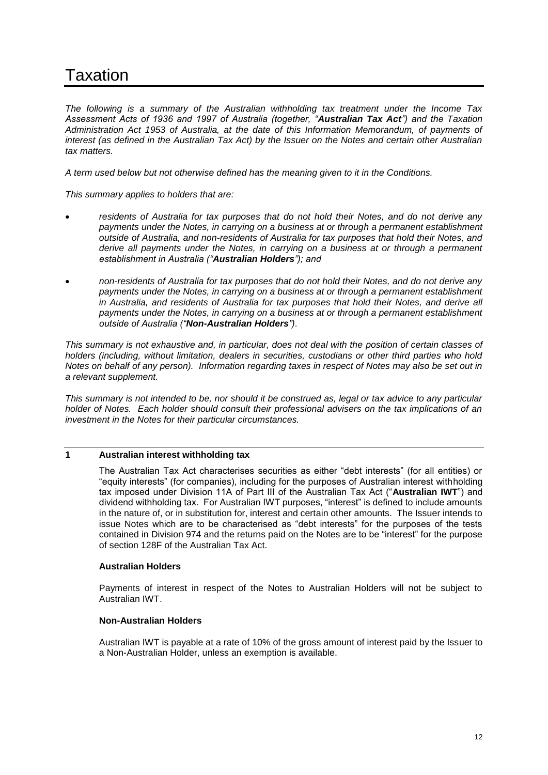# <span id="page-12-0"></span>Taxation

*The following is a summary of the Australian withholding tax treatment under the Income Tax Assessment Acts of 1936 and 1997 of Australia (together, "Australian Tax Act") and the Taxation Administration Act 1953 of Australia, at the date of this Information Memorandum, of payments of interest (as defined in the Australian Tax Act) by the Issuer on the Notes and certain other Australian tax matters.*

*A term used below but not otherwise defined has the meaning given to it in the Conditions.*

*This summary applies to holders that are:*

- *residents of Australia for tax purposes that do not hold their Notes, and do not derive any payments under the Notes, in carrying on a business at or through a permanent establishment outside of Australia, and non-residents of Australia for tax purposes that hold their Notes, and derive all payments under the Notes, in carrying on a business at or through a permanent establishment in Australia ("Australian Holders"); and*
- *non-residents of Australia for tax purposes that do not hold their Notes, and do not derive any payments under the Notes, in carrying on a business at or through a permanent establishment in Australia, and residents of Australia for tax purposes that hold their Notes, and derive all payments under the Notes, in carrying on a business at or through a permanent establishment outside of Australia ("Non-Australian Holders").*

*This summary is not exhaustive and, in particular, does not deal with the position of certain classes of holders (including, without limitation, dealers in securities, custodians or other third parties who hold Notes on behalf of any person). Information regarding taxes in respect of Notes may also be set out in a relevant supplement.*

*This summary is not intended to be, nor should it be construed as, legal or tax advice to any particular holder of Notes. Each holder should consult their professional advisers on the tax implications of an investment in the Notes for their particular circumstances.*

## **1 Australian interest withholding tax**

The Australian Tax Act characterises securities as either "debt interests" (for all entities) or "equity interests" (for companies), including for the purposes of Australian interest withholding tax imposed under Division 11A of Part III of the Australian Tax Act ("**Australian IWT**") and dividend withholding tax. For Australian IWT purposes, "interest" is defined to include amounts in the nature of, or in substitution for, interest and certain other amounts. The Issuer intends to issue Notes which are to be characterised as "debt interests" for the purposes of the tests contained in Division 974 and the returns paid on the Notes are to be "interest" for the purpose of section 128F of the Australian Tax Act.

## **Australian Holders**

Payments of interest in respect of the Notes to Australian Holders will not be subject to Australian IWT.

#### **Non-Australian Holders**

Australian IWT is payable at a rate of 10% of the gross amount of interest paid by the Issuer to a Non-Australian Holder, unless an exemption is available.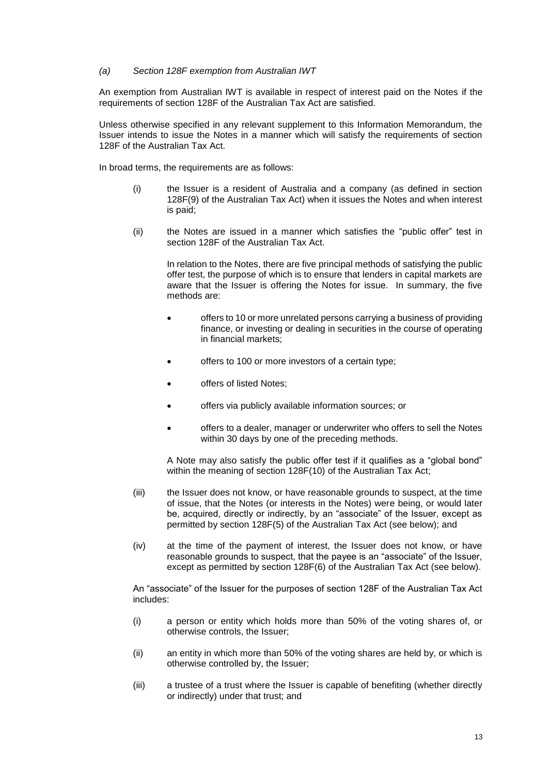#### *(a) Section 128F exemption from Australian IWT*

An exemption from Australian IWT is available in respect of interest paid on the Notes if the requirements of section 128F of the Australian Tax Act are satisfied.

Unless otherwise specified in any relevant supplement to this Information Memorandum, the Issuer intends to issue the Notes in a manner which will satisfy the requirements of section 128F of the Australian Tax Act.

In broad terms, the requirements are as follows:

- (i) the Issuer is a resident of Australia and a company (as defined in section 128F(9) of the Australian Tax Act) when it issues the Notes and when interest is paid;
- (ii) the Notes are issued in a manner which satisfies the "public offer" test in section 128F of the Australian Tax Act.

In relation to the Notes, there are five principal methods of satisfying the public offer test, the purpose of which is to ensure that lenders in capital markets are aware that the Issuer is offering the Notes for issue. In summary, the five methods are:

- offers to 10 or more unrelated persons carrying a business of providing finance, or investing or dealing in securities in the course of operating in financial markets;
- offers to 100 or more investors of a certain type;
- offers of listed Notes;
- offers via publicly available information sources; or
- offers to a dealer, manager or underwriter who offers to sell the Notes within 30 days by one of the preceding methods.

A Note may also satisfy the public offer test if it qualifies as a "global bond" within the meaning of section 128F(10) of the Australian Tax Act;

- (iii) the Issuer does not know, or have reasonable grounds to suspect, at the time of issue, that the Notes (or interests in the Notes) were being, or would later be, acquired, directly or indirectly, by an "associate" of the Issuer, except as permitted by section 128F(5) of the Australian Tax Act (see below); and
- (iv) at the time of the payment of interest, the Issuer does not know, or have reasonable grounds to suspect, that the payee is an "associate" of the Issuer, except as permitted by section 128F(6) of the Australian Tax Act (see below).

An "associate" of the Issuer for the purposes of section 128F of the Australian Tax Act includes:

- (i) a person or entity which holds more than 50% of the voting shares of, or otherwise controls, the Issuer;
- (ii) an entity in which more than 50% of the voting shares are held by, or which is otherwise controlled by, the Issuer;
- (iii) a trustee of a trust where the Issuer is capable of benefiting (whether directly or indirectly) under that trust; and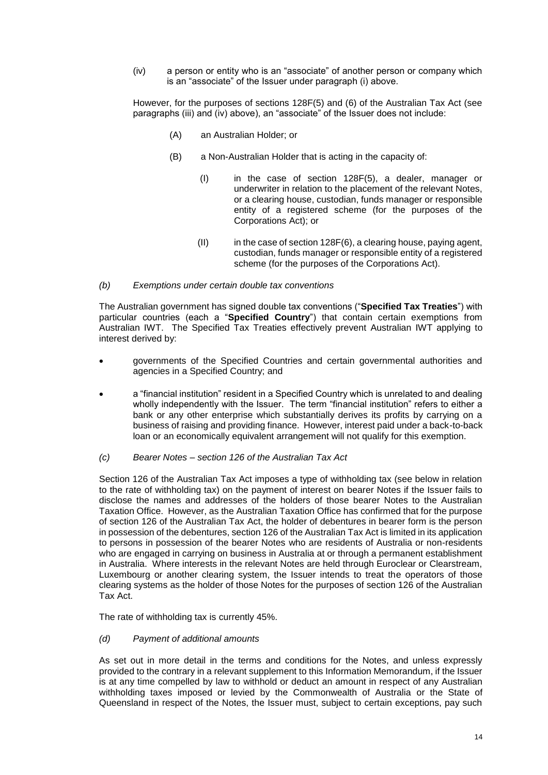(iv) a person or entity who is an "associate" of another person or company which is an "associate" of the Issuer under paragraph (i) above.

However, for the purposes of sections 128F(5) and (6) of the Australian Tax Act (see paragraphs (iii) and (iv) above), an "associate" of the Issuer does not include:

- (A) an Australian Holder; or
- (B) a Non-Australian Holder that is acting in the capacity of:
	- (I) in the case of section 128F(5), a dealer, manager or underwriter in relation to the placement of the relevant Notes, or a clearing house, custodian, funds manager or responsible entity of a registered scheme (for the purposes of the Corporations Act); or
	- $(II)$  in the case of section 128F $(6)$ , a clearing house, paying agent, custodian, funds manager or responsible entity of a registered scheme (for the purposes of the Corporations Act).

#### *(b) Exemptions under certain double tax conventions*

The Australian government has signed double tax conventions ("**Specified Tax Treaties**") with particular countries (each a "**Specified Country**") that contain certain exemptions from Australian IWT. The Specified Tax Treaties effectively prevent Australian IWT applying to interest derived by:

- governments of the Specified Countries and certain governmental authorities and agencies in a Specified Country; and
- a "financial institution" resident in a Specified Country which is unrelated to and dealing wholly independently with the Issuer. The term "financial institution" refers to either a bank or any other enterprise which substantially derives its profits by carrying on a business of raising and providing finance. However, interest paid under a back-to-back loan or an economically equivalent arrangement will not qualify for this exemption.
- *(c) Bearer Notes – section 126 of the Australian Tax Act*

Section 126 of the Australian Tax Act imposes a type of withholding tax (see below in relation to the rate of withholding tax) on the payment of interest on bearer Notes if the Issuer fails to disclose the names and addresses of the holders of those bearer Notes to the Australian Taxation Office. However, as the Australian Taxation Office has confirmed that for the purpose of section 126 of the Australian Tax Act, the holder of debentures in bearer form is the person in possession of the debentures, section 126 of the Australian Tax Act is limited in its application to persons in possession of the bearer Notes who are residents of Australia or non-residents who are engaged in carrying on business in Australia at or through a permanent establishment in Australia. Where interests in the relevant Notes are held through Euroclear or Clearstream, Luxembourg or another clearing system, the Issuer intends to treat the operators of those clearing systems as the holder of those Notes for the purposes of section 126 of the Australian Tax Act.

The rate of withholding tax is currently 45%.

*(d) Payment of additional amounts*

As set out in more detail in the terms and conditions for the Notes, and unless expressly provided to the contrary in a relevant supplement to this Information Memorandum, if the Issuer is at any time compelled by law to withhold or deduct an amount in respect of any Australian withholding taxes imposed or levied by the Commonwealth of Australia or the State of Queensland in respect of the Notes, the Issuer must, subject to certain exceptions, pay such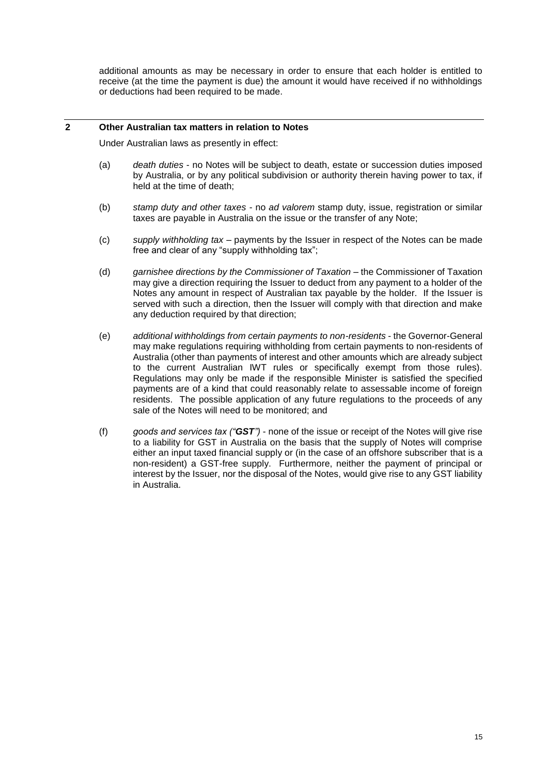additional amounts as may be necessary in order to ensure that each holder is entitled to receive (at the time the payment is due) the amount it would have received if no withholdings or deductions had been required to be made.

### **2 Other Australian tax matters in relation to Notes**

Under Australian laws as presently in effect:

- (a) *death duties* no Notes will be subject to death, estate or succession duties imposed by Australia, or by any political subdivision or authority therein having power to tax, if held at the time of death;
- (b) *stamp duty and other taxes* no *ad valorem* stamp duty, issue, registration or similar taxes are payable in Australia on the issue or the transfer of any Note;
- (c) *supply withholding tax* payments by the Issuer in respect of the Notes can be made free and clear of any "supply withholding tax";
- (d) *garnishee directions by the Commissioner of Taxation* the Commissioner of Taxation may give a direction requiring the Issuer to deduct from any payment to a holder of the Notes any amount in respect of Australian tax payable by the holder. If the Issuer is served with such a direction, then the Issuer will comply with that direction and make any deduction required by that direction;
- (e) *additional withholdings from certain payments to non-residents* the Governor-General may make regulations requiring withholding from certain payments to non-residents of Australia (other than payments of interest and other amounts which are already subject to the current Australian IWT rules or specifically exempt from those rules). Regulations may only be made if the responsible Minister is satisfied the specified payments are of a kind that could reasonably relate to assessable income of foreign residents. The possible application of any future regulations to the proceeds of any sale of the Notes will need to be monitored; and
- (f) *goods and services tax ("GST")* none of the issue or receipt of the Notes will give rise to a liability for GST in Australia on the basis that the supply of Notes will comprise either an input taxed financial supply or (in the case of an offshore subscriber that is a non-resident) a GST-free supply. Furthermore, neither the payment of principal or interest by the Issuer, nor the disposal of the Notes, would give rise to any GST liability in Australia.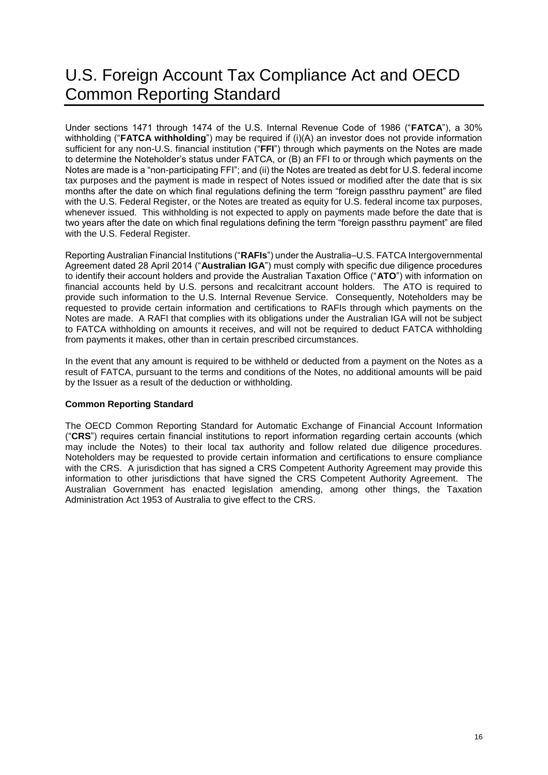# <span id="page-16-0"></span>U.S. Foreign Account Tax Compliance Act and OECD Common Reporting Standard

Under sections 1471 through 1474 of the U.S. Internal Revenue Code of 1986 ("**FATCA**"), a 30% withholding ("**FATCA withholding**") may be required if (i)(A) an investor does not provide information sufficient for any non-U.S. financial institution ("**FFI**") through which payments on the Notes are made to determine the Noteholder's status under FATCA, or (B) an FFI to or through which payments on the Notes are made is a "non-participating FFI"; and (ii) the Notes are treated as debt for U.S. federal income tax purposes and the payment is made in respect of Notes issued or modified after the date that is six months after the date on which final regulations defining the term "foreign passthru payment" are filed with the U.S. Federal Register, or the Notes are treated as equity for U.S. federal income tax purposes, whenever issued. This withholding is not expected to apply on payments made before the date that is two years after the date on which final regulations defining the term "foreign passthru payment" are filed with the U.S. Federal Register.

Reporting Australian Financial Institutions ("**RAFIs**") under the Australia–U.S. FATCA Intergovernmental Agreement dated 28 April 2014 ("**Australian IGA**") must comply with specific due diligence procedures to identify their account holders and provide the Australian Taxation Office ("**ATO**") with information on financial accounts held by U.S. persons and recalcitrant account holders. The ATO is required to provide such information to the U.S. Internal Revenue Service. Consequently, Noteholders may be requested to provide certain information and certifications to RAFIs through which payments on the Notes are made. A RAFI that complies with its obligations under the Australian IGA will not be subject to FATCA withholding on amounts it receives, and will not be required to deduct FATCA withholding from payments it makes, other than in certain prescribed circumstances.

In the event that any amount is required to be withheld or deducted from a payment on the Notes as a result of FATCA, pursuant to the terms and conditions of the Notes, no additional amounts will be paid by the Issuer as a result of the deduction or withholding.

## **Common Reporting Standard**

The OECD Common Reporting Standard for Automatic Exchange of Financial Account Information ("**CRS**") requires certain financial institutions to report information regarding certain accounts (which may include the Notes) to their local tax authority and follow related due diligence procedures. Noteholders may be requested to provide certain information and certifications to ensure compliance with the CRS. A jurisdiction that has signed a CRS Competent Authority Agreement may provide this information to other jurisdictions that have signed the CRS Competent Authority Agreement. The Australian Government has enacted legislation amending, among other things, the Taxation Administration Act 1953 of Australia to give effect to the CRS.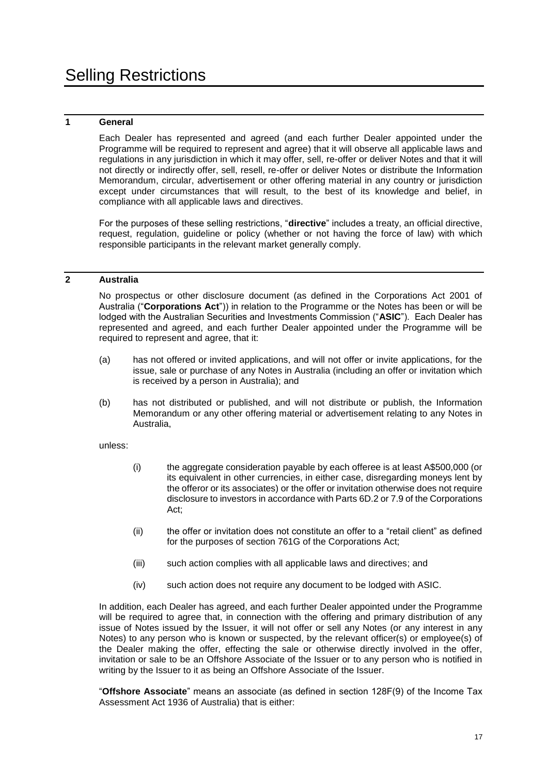## <span id="page-17-0"></span>**1 General**

Each Dealer has represented and agreed (and each further Dealer appointed under the Programme will be required to represent and agree) that it will observe all applicable laws and regulations in any jurisdiction in which it may offer, sell, re-offer or deliver Notes and that it will not directly or indirectly offer, sell, resell, re-offer or deliver Notes or distribute the Information Memorandum, circular, advertisement or other offering material in any country or jurisdiction except under circumstances that will result, to the best of its knowledge and belief, in compliance with all applicable laws and directives.

For the purposes of these selling restrictions, "**directive**" includes a treaty, an official directive, request, regulation, guideline or policy (whether or not having the force of law) with which responsible participants in the relevant market generally comply.

#### **2 Australia**

No prospectus or other disclosure document (as defined in the Corporations Act 2001 of Australia ("**Corporations Act**")) in relation to the Programme or the Notes has been or will be lodged with the Australian Securities and Investments Commission ("**ASIC**"). Each Dealer has represented and agreed, and each further Dealer appointed under the Programme will be required to represent and agree, that it:

- (a) has not offered or invited applications, and will not offer or invite applications, for the issue, sale or purchase of any Notes in Australia (including an offer or invitation which is received by a person in Australia); and
- (b) has not distributed or published, and will not distribute or publish, the Information Memorandum or any other offering material or advertisement relating to any Notes in Australia,

#### unless:

- (i) the aggregate consideration payable by each offeree is at least A\$500,000 (or its equivalent in other currencies, in either case, disregarding moneys lent by the offeror or its associates) or the offer or invitation otherwise does not require disclosure to investors in accordance with Parts 6D.2 or 7.9 of the Corporations Act;
- (ii) the offer or invitation does not constitute an offer to a "retail client" as defined for the purposes of section 761G of the Corporations Act;
- (iii) such action complies with all applicable laws and directives; and
- (iv) such action does not require any document to be lodged with ASIC.

In addition, each Dealer has agreed, and each further Dealer appointed under the Programme will be required to agree that, in connection with the offering and primary distribution of any issue of Notes issued by the Issuer, it will not offer or sell any Notes (or any interest in any Notes) to any person who is known or suspected, by the relevant officer(s) or employee(s) of the Dealer making the offer, effecting the sale or otherwise directly involved in the offer, invitation or sale to be an Offshore Associate of the Issuer or to any person who is notified in writing by the Issuer to it as being an Offshore Associate of the Issuer.

"**Offshore Associate**" means an associate (as defined in section 128F(9) of the Income Tax Assessment Act 1936 of Australia) that is either: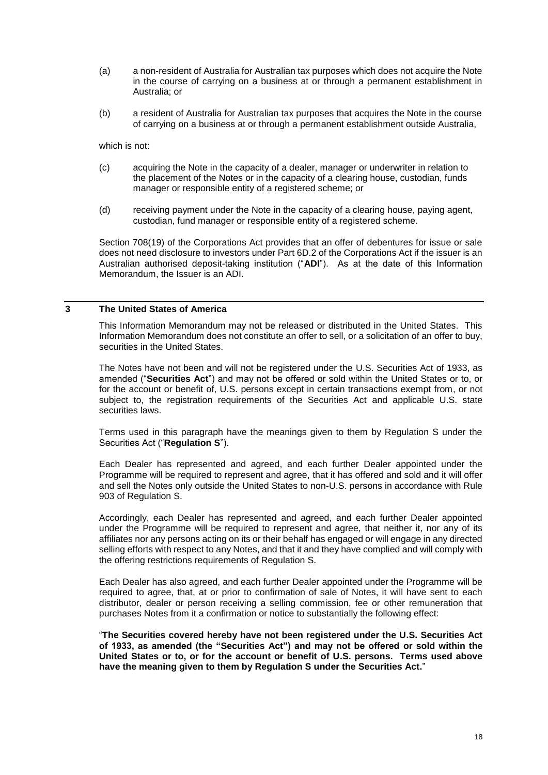- (a) a non-resident of Australia for Australian tax purposes which does not acquire the Note in the course of carrying on a business at or through a permanent establishment in Australia; or
- (b) a resident of Australia for Australian tax purposes that acquires the Note in the course of carrying on a business at or through a permanent establishment outside Australia,

which is not:

- (c) acquiring the Note in the capacity of a dealer, manager or underwriter in relation to the placement of the Notes or in the capacity of a clearing house, custodian, funds manager or responsible entity of a registered scheme; or
- (d) receiving payment under the Note in the capacity of a clearing house, paying agent, custodian, fund manager or responsible entity of a registered scheme.

Section 708(19) of the Corporations Act provides that an offer of debentures for issue or sale does not need disclosure to investors under Part 6D.2 of the Corporations Act if the issuer is an Australian authorised deposit-taking institution ("**ADI**"). As at the date of this Information Memorandum, the Issuer is an ADI.

### **3 The United States of America**

This Information Memorandum may not be released or distributed in the United States. This Information Memorandum does not constitute an offer to sell, or a solicitation of an offer to buy, securities in the United States.

The Notes have not been and will not be registered under the U.S. Securities Act of 1933, as amended ("**Securities Act**") and may not be offered or sold within the United States or to, or for the account or benefit of, U.S. persons except in certain transactions exempt from, or not subject to, the registration requirements of the Securities Act and applicable U.S. state securities laws.

Terms used in this paragraph have the meanings given to them by Regulation S under the Securities Act ("**Regulation S**").

Each Dealer has represented and agreed, and each further Dealer appointed under the Programme will be required to represent and agree, that it has offered and sold and it will offer and sell the Notes only outside the United States to non-U.S. persons in accordance with Rule 903 of Regulation S.

Accordingly, each Dealer has represented and agreed, and each further Dealer appointed under the Programme will be required to represent and agree, that neither it, nor any of its affiliates nor any persons acting on its or their behalf has engaged or will engage in any directed selling efforts with respect to any Notes, and that it and they have complied and will comply with the offering restrictions requirements of Regulation S.

Each Dealer has also agreed, and each further Dealer appointed under the Programme will be required to agree, that, at or prior to confirmation of sale of Notes, it will have sent to each distributor, dealer or person receiving a selling commission, fee or other remuneration that purchases Notes from it a confirmation or notice to substantially the following effect:

"**The Securities covered hereby have not been registered under the U.S. Securities Act of 1933, as amended (the "Securities Act") and may not be offered or sold within the United States or to, or for the account or benefit of U.S. persons. Terms used above have the meaning given to them by Regulation S under the Securities Act.**"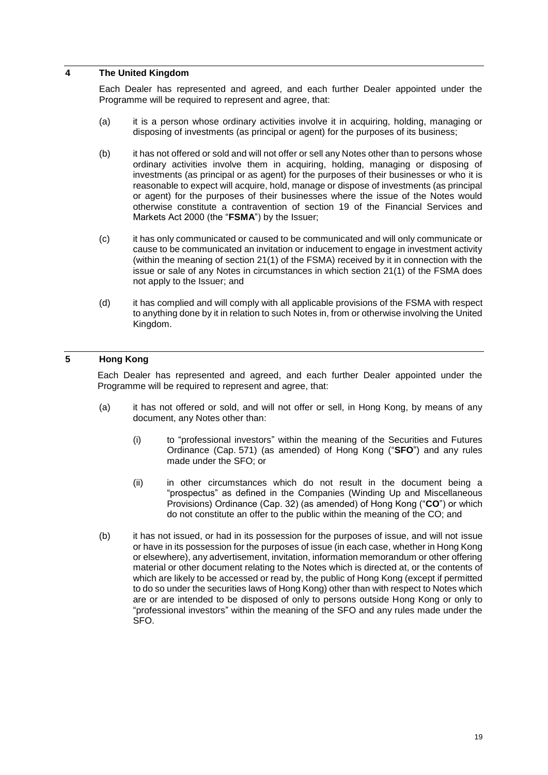#### **4 The United Kingdom**

Each Dealer has represented and agreed, and each further Dealer appointed under the Programme will be required to represent and agree, that:

- (a) it is a person whose ordinary activities involve it in acquiring, holding, managing or disposing of investments (as principal or agent) for the purposes of its business;
- (b) it has not offered or sold and will not offer or sell any Notes other than to persons whose ordinary activities involve them in acquiring, holding, managing or disposing of investments (as principal or as agent) for the purposes of their businesses or who it is reasonable to expect will acquire, hold, manage or dispose of investments (as principal or agent) for the purposes of their businesses where the issue of the Notes would otherwise constitute a contravention of section 19 of the Financial Services and Markets Act 2000 (the "**FSMA**") by the Issuer;
- (c) it has only communicated or caused to be communicated and will only communicate or cause to be communicated an invitation or inducement to engage in investment activity (within the meaning of section 21(1) of the FSMA) received by it in connection with the issue or sale of any Notes in circumstances in which section 21(1) of the FSMA does not apply to the Issuer; and
- (d) it has complied and will comply with all applicable provisions of the FSMA with respect to anything done by it in relation to such Notes in, from or otherwise involving the United Kingdom.

## **5 Hong Kong**

Each Dealer has represented and agreed, and each further Dealer appointed under the Programme will be required to represent and agree, that:

- (a) it has not offered or sold, and will not offer or sell, in Hong Kong, by means of any document, any Notes other than:
	- (i) to "professional investors" within the meaning of the Securities and Futures Ordinance (Cap. 571) (as amended) of Hong Kong ("**SFO**") and any rules made under the SFO; or
	- (ii) in other circumstances which do not result in the document being a "prospectus" as defined in the Companies (Winding Up and Miscellaneous Provisions) Ordinance (Cap. 32) (as amended) of Hong Kong ("**CO**") or which do not constitute an offer to the public within the meaning of the CO; and
- (b) it has not issued, or had in its possession for the purposes of issue, and will not issue or have in its possession for the purposes of issue (in each case, whether in Hong Kong or elsewhere), any advertisement, invitation, information memorandum or other offering material or other document relating to the Notes which is directed at, or the contents of which are likely to be accessed or read by, the public of Hong Kong (except if permitted to do so under the securities laws of Hong Kong) other than with respect to Notes which are or are intended to be disposed of only to persons outside Hong Kong or only to "professional investors" within the meaning of the SFO and any rules made under the SFO.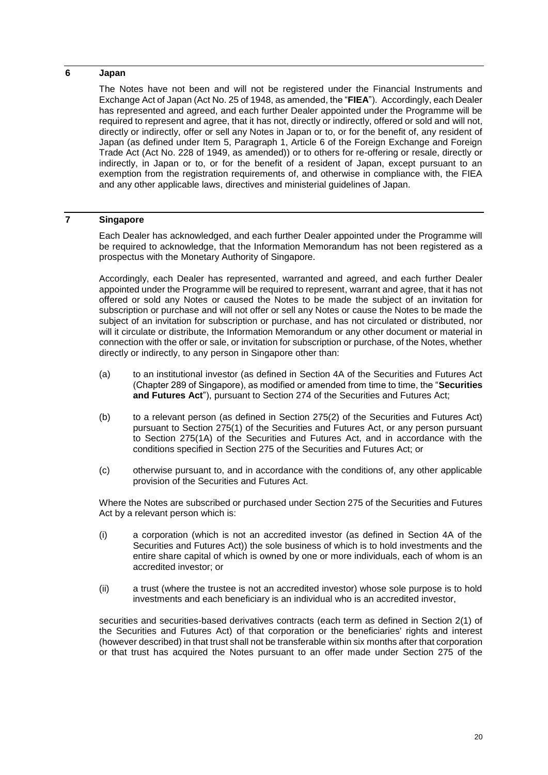## **6 Japan**

The Notes have not been and will not be registered under the Financial Instruments and Exchange Act of Japan (Act No. 25 of 1948, as amended, the "**FIEA**"). Accordingly, each Dealer has represented and agreed, and each further Dealer appointed under the Programme will be required to represent and agree, that it has not, directly or indirectly, offered or sold and will not, directly or indirectly, offer or sell any Notes in Japan or to, or for the benefit of, any resident of Japan (as defined under Item 5, Paragraph 1, Article 6 of the Foreign Exchange and Foreign Trade Act (Act No. 228 of 1949, as amended)) or to others for re-offering or resale, directly or indirectly, in Japan or to, or for the benefit of a resident of Japan, except pursuant to an exemption from the registration requirements of, and otherwise in compliance with, the FIEA and any other applicable laws, directives and ministerial guidelines of Japan.

## **7 Singapore**

Each Dealer has acknowledged, and each further Dealer appointed under the Programme will be required to acknowledge, that the Information Memorandum has not been registered as a prospectus with the Monetary Authority of Singapore.

Accordingly, each Dealer has represented, warranted and agreed, and each further Dealer appointed under the Programme will be required to represent, warrant and agree, that it has not offered or sold any Notes or caused the Notes to be made the subject of an invitation for subscription or purchase and will not offer or sell any Notes or cause the Notes to be made the subject of an invitation for subscription or purchase, and has not circulated or distributed, nor will it circulate or distribute, the Information Memorandum or any other document or material in connection with the offer or sale, or invitation for subscription or purchase, of the Notes, whether directly or indirectly, to any person in Singapore other than:

- (a) to an institutional investor (as defined in Section 4A of the Securities and Futures Act (Chapter 289 of Singapore), as modified or amended from time to time, the "**Securities and Futures Act**"), pursuant to Section 274 of the Securities and Futures Act;
- (b) to a relevant person (as defined in Section 275(2) of the Securities and Futures Act) pursuant to Section 275(1) of the Securities and Futures Act, or any person pursuant to Section 275(1A) of the Securities and Futures Act, and in accordance with the conditions specified in Section 275 of the Securities and Futures Act; or
- (c) otherwise pursuant to, and in accordance with the conditions of, any other applicable provision of the Securities and Futures Act.

Where the Notes are subscribed or purchased under Section 275 of the Securities and Futures Act by a relevant person which is:

- (i) a corporation (which is not an accredited investor (as defined in Section 4A of the Securities and Futures Act)) the sole business of which is to hold investments and the entire share capital of which is owned by one or more individuals, each of whom is an accredited investor; or
- (ii) a trust (where the trustee is not an accredited investor) whose sole purpose is to hold investments and each beneficiary is an individual who is an accredited investor,

securities and securities-based derivatives contracts (each term as defined in Section 2(1) of the Securities and Futures Act) of that corporation or the beneficiaries' rights and interest (however described) in that trust shall not be transferable within six months after that corporation or that trust has acquired the Notes pursuant to an offer made under Section 275 of the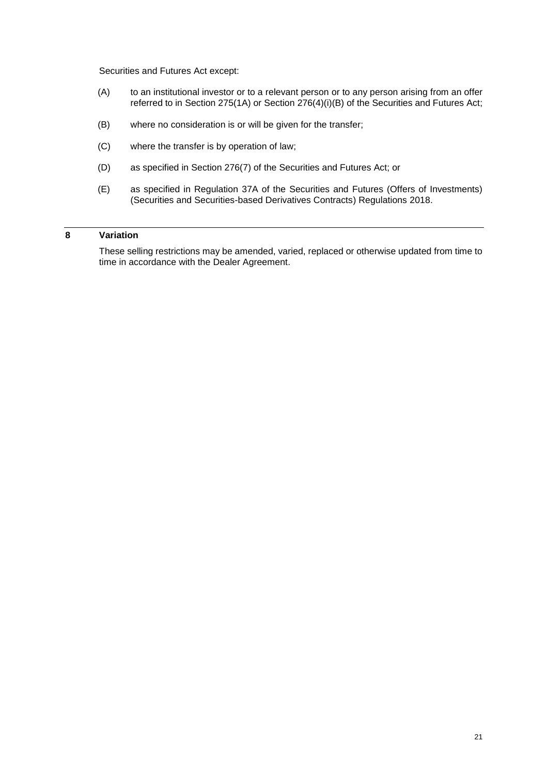Securities and Futures Act except:

- (A) to an institutional investor or to a relevant person or to any person arising from an offer referred to in Section 275(1A) or Section 276(4)(i)(B) of the Securities and Futures Act;
- (B) where no consideration is or will be given for the transfer;
- (C) where the transfer is by operation of law;
- (D) as specified in Section 276(7) of the Securities and Futures Act; or
- (E) as specified in Regulation 37A of the Securities and Futures (Offers of Investments) (Securities and Securities-based Derivatives Contracts) Regulations 2018.

## **8 Variation**

These selling restrictions may be amended, varied, replaced or otherwise updated from time to time in accordance with the Dealer Agreement.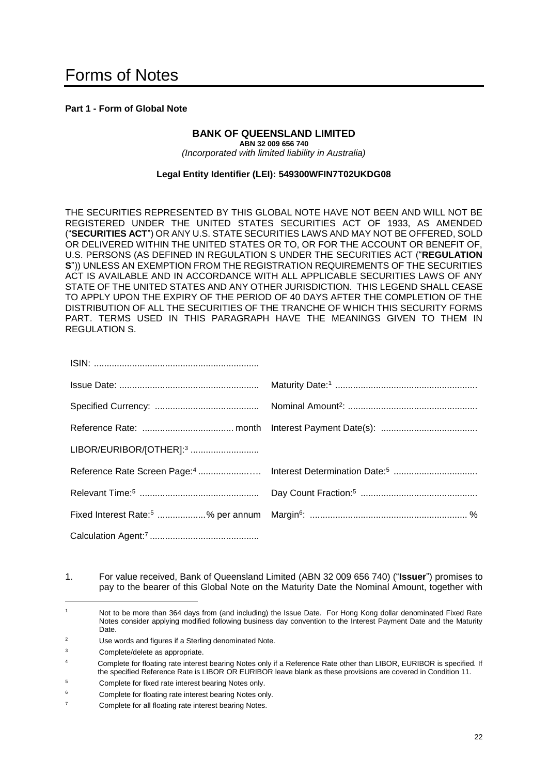## <span id="page-22-0"></span>**Part 1 - Form of Global Note**

## **BANK OF QUEENSLAND LIMITED**

**ABN 32 009 656 740** *(Incorporated with limited liability in Australia)*

### **Legal Entity Identifier (LEI): 549300WFIN7T02UKDG08**

THE SECURITIES REPRESENTED BY THIS GLOBAL NOTE HAVE NOT BEEN AND WILL NOT BE REGISTERED UNDER THE UNITED STATES SECURITIES ACT OF 1933, AS AMENDED ("**SECURITIES ACT**") OR ANY U.S. STATE SECURITIES LAWS AND MAY NOT BE OFFERED, SOLD OR DELIVERED WITHIN THE UNITED STATES OR TO, OR FOR THE ACCOUNT OR BENEFIT OF, U.S. PERSONS (AS DEFINED IN REGULATION S UNDER THE SECURITIES ACT ("**REGULATION S**")) UNLESS AN EXEMPTION FROM THE REGISTRATION REQUIREMENTS OF THE SECURITIES ACT IS AVAILABLE AND IN ACCORDANCE WITH ALL APPLICABLE SECURITIES LAWS OF ANY STATE OF THE UNITED STATES AND ANY OTHER JURISDICTION. THIS LEGEND SHALL CEASE TO APPLY UPON THE EXPIRY OF THE PERIOD OF 40 DAYS AFTER THE COMPLETION OF THE DISTRIBUTION OF ALL THE SECURITIES OF THE TRANCHE OF WHICH THIS SECURITY FORMS PART. TERMS USED IN THIS PARAGRAPH HAVE THE MEANINGS GIVEN TO THEM IN REGULATION S.

| LIBOR/EURIBOR/[OTHER]: <sup>3</sup> |  |
|-------------------------------------|--|
|                                     |  |
|                                     |  |
|                                     |  |
|                                     |  |

1. For value received, Bank of Queensland Limited (ABN 32 009 656 740) ("**Issuer**") promises to pay to the bearer of this Global Note on the Maturity Date the Nominal Amount, together with

<sup>1</sup> Not to be more than 364 days from (and including) the Issue Date. For Hong Kong dollar denominated Fixed Rate Notes consider applying modified following business day convention to the Interest Payment Date and the Maturity Date.

<sup>2</sup> Use words and figures if a Sterling denominated Note.

<sup>3</sup> Complete/delete as appropriate.

Complete for floating rate interest bearing Notes only if a Reference Rate other than LIBOR, EURIBOR is specified. If the specified Reference Rate is LIBOR OR EURIBOR leave blank as these provisions are covered in Condition 11.

<sup>5</sup> Complete for fixed rate interest bearing Notes only.

Complete for floating rate interest bearing Notes only.

<sup>7</sup> Complete for all floating rate interest bearing Notes.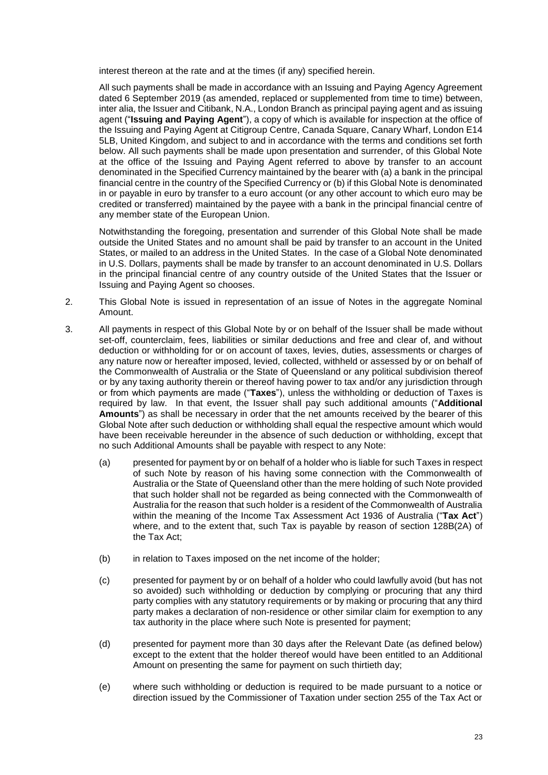interest thereon at the rate and at the times (if any) specified herein.

All such payments shall be made in accordance with an Issuing and Paying Agency Agreement dated 6 September 2019 (as amended, replaced or supplemented from time to time) between. inter alia, the Issuer and Citibank, N.A., London Branch as principal paying agent and as issuing agent ("**Issuing and Paying Agent**"), a copy of which is available for inspection at the office of the Issuing and Paying Agent at Citigroup Centre, Canada Square, Canary Wharf, London E14 5LB, United Kingdom, and subject to and in accordance with the terms and conditions set forth below. All such payments shall be made upon presentation and surrender, of this Global Note at the office of the Issuing and Paying Agent referred to above by transfer to an account denominated in the Specified Currency maintained by the bearer with (a) a bank in the principal financial centre in the country of the Specified Currency or (b) if this Global Note is denominated in or payable in euro by transfer to a euro account (or any other account to which euro may be credited or transferred) maintained by the payee with a bank in the principal financial centre of any member state of the European Union.

Notwithstanding the foregoing, presentation and surrender of this Global Note shall be made outside the United States and no amount shall be paid by transfer to an account in the United States, or mailed to an address in the United States. In the case of a Global Note denominated in U.S. Dollars, payments shall be made by transfer to an account denominated in U.S. Dollars in the principal financial centre of any country outside of the United States that the Issuer or Issuing and Paying Agent so chooses.

- 2. This Global Note is issued in representation of an issue of Notes in the aggregate Nominal Amount.
- 3. All payments in respect of this Global Note by or on behalf of the Issuer shall be made without set-off, counterclaim, fees, liabilities or similar deductions and free and clear of, and without deduction or withholding for or on account of taxes, levies, duties, assessments or charges of any nature now or hereafter imposed, levied, collected, withheld or assessed by or on behalf of the Commonwealth of Australia or the State of Queensland or any political subdivision thereof or by any taxing authority therein or thereof having power to tax and/or any jurisdiction through or from which payments are made ("**Taxes**"), unless the withholding or deduction of Taxes is required by law. In that event, the Issuer shall pay such additional amounts ("**Additional Amounts**") as shall be necessary in order that the net amounts received by the bearer of this Global Note after such deduction or withholding shall equal the respective amount which would have been receivable hereunder in the absence of such deduction or withholding, except that no such Additional Amounts shall be payable with respect to any Note:
	- (a) presented for payment by or on behalf of a holder who is liable for such Taxes in respect of such Note by reason of his having some connection with the Commonwealth of Australia or the State of Queensland other than the mere holding of such Note provided that such holder shall not be regarded as being connected with the Commonwealth of Australia for the reason that such holder is a resident of the Commonwealth of Australia within the meaning of the Income Tax Assessment Act 1936 of Australia ("**Tax Act**") where, and to the extent that, such Tax is payable by reason of section 128B(2A) of the Tax Act;
	- (b) in relation to Taxes imposed on the net income of the holder;
	- (c) presented for payment by or on behalf of a holder who could lawfully avoid (but has not so avoided) such withholding or deduction by complying or procuring that any third party complies with any statutory requirements or by making or procuring that any third party makes a declaration of non-residence or other similar claim for exemption to any tax authority in the place where such Note is presented for payment;
	- (d) presented for payment more than 30 days after the Relevant Date (as defined below) except to the extent that the holder thereof would have been entitled to an Additional Amount on presenting the same for payment on such thirtieth day;
	- (e) where such withholding or deduction is required to be made pursuant to a notice or direction issued by the Commissioner of Taxation under section 255 of the Tax Act or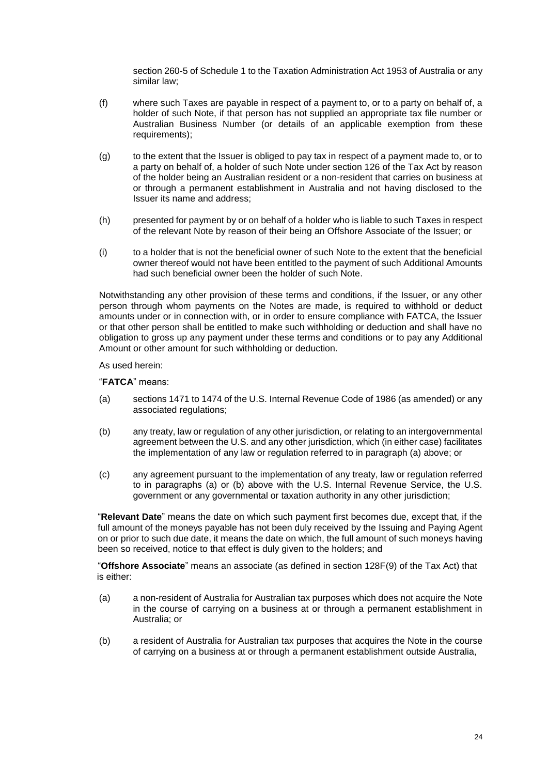section 260-5 of Schedule 1 to the Taxation Administration Act 1953 of Australia or any similar law;

- (f) where such Taxes are payable in respect of a payment to, or to a party on behalf of, a holder of such Note, if that person has not supplied an appropriate tax file number or Australian Business Number (or details of an applicable exemption from these requirements);
- (g) to the extent that the Issuer is obliged to pay tax in respect of a payment made to, or to a party on behalf of, a holder of such Note under section 126 of the Tax Act by reason of the holder being an Australian resident or a non-resident that carries on business at or through a permanent establishment in Australia and not having disclosed to the Issuer its name and address;
- (h) presented for payment by or on behalf of a holder who is liable to such Taxes in respect of the relevant Note by reason of their being an Offshore Associate of the Issuer; or
- (i) to a holder that is not the beneficial owner of such Note to the extent that the beneficial owner thereof would not have been entitled to the payment of such Additional Amounts had such beneficial owner been the holder of such Note.

Notwithstanding any other provision of these terms and conditions, if the Issuer, or any other person through whom payments on the Notes are made, is required to withhold or deduct amounts under or in connection with, or in order to ensure compliance with FATCA, the Issuer or that other person shall be entitled to make such withholding or deduction and shall have no obligation to gross up any payment under these terms and conditions or to pay any Additional Amount or other amount for such withholding or deduction.

As used herein:

"**FATCA**" means:

- (a) sections 1471 to 1474 of the U.S. Internal Revenue Code of 1986 (as amended) or any associated regulations;
- (b) any treaty, law or regulation of any other jurisdiction, or relating to an intergovernmental agreement between the U.S. and any other jurisdiction, which (in either case) facilitates the implementation of any law or regulation referred to in paragraph (a) above; or
- (c) any agreement pursuant to the implementation of any treaty, law or regulation referred to in paragraphs (a) or (b) above with the U.S. Internal Revenue Service, the U.S. government or any governmental or taxation authority in any other jurisdiction;

"**Relevant Date**" means the date on which such payment first becomes due, except that, if the full amount of the moneys payable has not been duly received by the Issuing and Paying Agent on or prior to such due date, it means the date on which, the full amount of such moneys having been so received, notice to that effect is duly given to the holders; and

"**Offshore Associate**" means an associate (as defined in section 128F(9) of the Tax Act) that is either:

- (a) a non-resident of Australia for Australian tax purposes which does not acquire the Note in the course of carrying on a business at or through a permanent establishment in Australia; or
- (b) a resident of Australia for Australian tax purposes that acquires the Note in the course of carrying on a business at or through a permanent establishment outside Australia,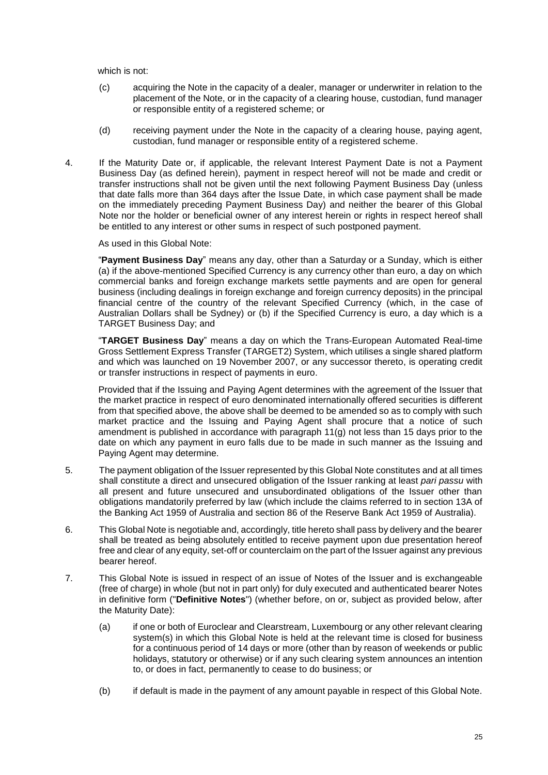which is not:

- (c) acquiring the Note in the capacity of a dealer, manager or underwriter in relation to the placement of the Note, or in the capacity of a clearing house, custodian, fund manager or responsible entity of a registered scheme; or
- (d) receiving payment under the Note in the capacity of a clearing house, paying agent, custodian, fund manager or responsible entity of a registered scheme.
- 4. If the Maturity Date or, if applicable, the relevant Interest Payment Date is not a Payment Business Day (as defined herein), payment in respect hereof will not be made and credit or transfer instructions shall not be given until the next following Payment Business Day (unless that date falls more than 364 days after the Issue Date, in which case payment shall be made on the immediately preceding Payment Business Day) and neither the bearer of this Global Note nor the holder or beneficial owner of any interest herein or rights in respect hereof shall be entitled to any interest or other sums in respect of such postponed payment.

As used in this Global Note:

"**Payment Business Day**" means any day, other than a Saturday or a Sunday, which is either (a) if the above-mentioned Specified Currency is any currency other than euro, a day on which commercial banks and foreign exchange markets settle payments and are open for general business (including dealings in foreign exchange and foreign currency deposits) in the principal financial centre of the country of the relevant Specified Currency (which, in the case of Australian Dollars shall be Sydney) or (b) if the Specified Currency is euro, a day which is a TARGET Business Day; and

"**TARGET Business Day**" means a day on which the Trans-European Automated Real-time Gross Settlement Express Transfer (TARGET2) System, which utilises a single shared platform and which was launched on 19 November 2007, or any successor thereto, is operating credit or transfer instructions in respect of payments in euro.

Provided that if the Issuing and Paying Agent determines with the agreement of the Issuer that the market practice in respect of euro denominated internationally offered securities is different from that specified above, the above shall be deemed to be amended so as to comply with such market practice and the Issuing and Paying Agent shall procure that a notice of such amendment is published in accordance with paragraph 11(g) not less than 15 days prior to the date on which any payment in euro falls due to be made in such manner as the Issuing and Paying Agent may determine.

- 5. The payment obligation of the Issuer represented by this Global Note constitutes and at all times shall constitute a direct and unsecured obligation of the Issuer ranking at least *pari passu* with all present and future unsecured and unsubordinated obligations of the Issuer other than obligations mandatorily preferred by law (which include the claims referred to in section 13A of the Banking Act 1959 of Australia and section 86 of the Reserve Bank Act 1959 of Australia).
- 6. This Global Note is negotiable and, accordingly, title hereto shall pass by delivery and the bearer shall be treated as being absolutely entitled to receive payment upon due presentation hereof free and clear of any equity, set-off or counterclaim on the part of the Issuer against any previous bearer hereof.
- 7. This Global Note is issued in respect of an issue of Notes of the Issuer and is exchangeable (free of charge) in whole (but not in part only) for duly executed and authenticated bearer Notes in definitive form ("**Definitive Notes**") (whether before, on or, subject as provided below, after the Maturity Date):
	- (a) if one or both of Euroclear and Clearstream, Luxembourg or any other relevant clearing system(s) in which this Global Note is held at the relevant time is closed for business for a continuous period of 14 days or more (other than by reason of weekends or public holidays, statutory or otherwise) or if any such clearing system announces an intention to, or does in fact, permanently to cease to do business; or
	- (b) if default is made in the payment of any amount payable in respect of this Global Note.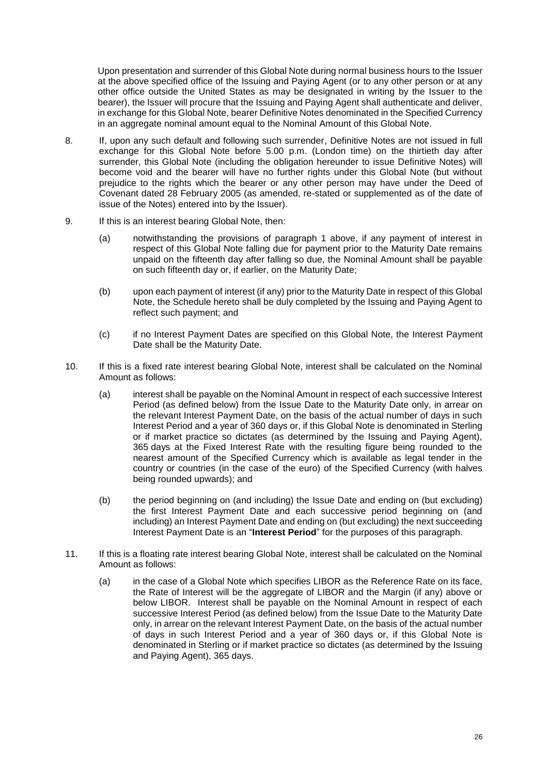Upon presentation and surrender of this Global Note during normal business hours to the Issuer at the above specified office of the Issuing and Paying Agent (or to any other person or at any other office outside the United States as may be designated in writing by the Issuer to the bearer), the Issuer will procure that the Issuing and Paying Agent shall authenticate and deliver, in exchange for this Global Note, bearer Definitive Notes denominated in the Specified Currency in an aggregate nominal amount equal to the Nominal Amount of this Global Note.

- 8. If, upon any such default and following such surrender, Definitive Notes are not issued in full exchange for this Global Note before 5.00 p.m. (London time) on the thirtieth day after surrender, this Global Note (including the obligation hereunder to issue Definitive Notes) will become void and the bearer will have no further rights under this Global Note (but without prejudice to the rights which the bearer or any other person may have under the Deed of Covenant dated 28 February 2005 (as amended, re-stated or supplemented as of the date of issue of the Notes) entered into by the Issuer).
- 9. If this is an interest bearing Global Note, then:
	- (a) notwithstanding the provisions of paragraph 1 above, if any payment of interest in respect of this Global Note falling due for payment prior to the Maturity Date remains unpaid on the fifteenth day after falling so due, the Nominal Amount shall be payable on such fifteenth day or, if earlier, on the Maturity Date;
	- (b) upon each payment of interest (if any) prior to the Maturity Date in respect of this Global Note, the Schedule hereto shall be duly completed by the Issuing and Paying Agent to reflect such payment; and
	- (c) if no Interest Payment Dates are specified on this Global Note, the Interest Payment Date shall be the Maturity Date.
- 10. If this is a fixed rate interest bearing Global Note, interest shall be calculated on the Nominal Amount as follows:
	- (a) interest shall be payable on the Nominal Amount in respect of each successive Interest Period (as defined below) from the Issue Date to the Maturity Date only, in arrear on the relevant Interest Payment Date, on the basis of the actual number of days in such Interest Period and a year of 360 days or, if this Global Note is denominated in Sterling or if market practice so dictates (as determined by the Issuing and Paying Agent), 365 days at the Fixed Interest Rate with the resulting figure being rounded to the nearest amount of the Specified Currency which is available as legal tender in the country or countries (in the case of the euro) of the Specified Currency (with halves being rounded upwards); and
	- (b) the period beginning on (and including) the Issue Date and ending on (but excluding) the first Interest Payment Date and each successive period beginning on (and including) an Interest Payment Date and ending on (but excluding) the next succeeding Interest Payment Date is an "**Interest Period**" for the purposes of this paragraph.
- 11. If this is a floating rate interest bearing Global Note, interest shall be calculated on the Nominal Amount as follows:
	- (a) in the case of a Global Note which specifies LIBOR as the Reference Rate on its face, the Rate of Interest will be the aggregate of LIBOR and the Margin (if any) above or below LIBOR. Interest shall be payable on the Nominal Amount in respect of each successive Interest Period (as defined below) from the Issue Date to the Maturity Date only, in arrear on the relevant Interest Payment Date, on the basis of the actual number of days in such Interest Period and a year of 360 days or, if this Global Note is denominated in Sterling or if market practice so dictates (as determined by the Issuing and Paying Agent), 365 days.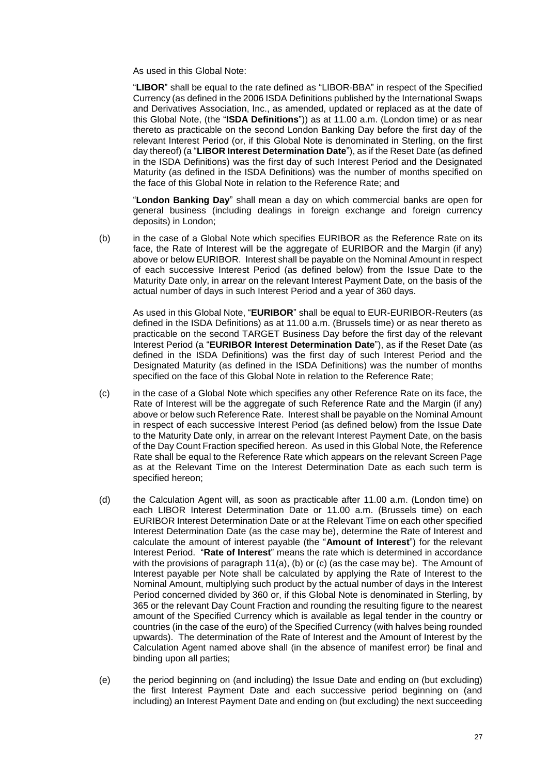As used in this Global Note:

"**LIBOR**" shall be equal to the rate defined as "LIBOR-BBA" in respect of the Specified Currency (as defined in the 2006 ISDA Definitions published by the International Swaps and Derivatives Association, Inc., as amended, updated or replaced as at the date of this Global Note, (the "**ISDA Definitions**")) as at 11.00 a.m. (London time) or as near thereto as practicable on the second London Banking Day before the first day of the relevant Interest Period (or, if this Global Note is denominated in Sterling, on the first day thereof) (a "**LIBOR Interest Determination Date**"), as if the Reset Date (as defined in the ISDA Definitions) was the first day of such Interest Period and the Designated Maturity (as defined in the ISDA Definitions) was the number of months specified on the face of this Global Note in relation to the Reference Rate; and

"**London Banking Day**" shall mean a day on which commercial banks are open for general business (including dealings in foreign exchange and foreign currency deposits) in London;

(b) in the case of a Global Note which specifies EURIBOR as the Reference Rate on its face, the Rate of Interest will be the aggregate of EURIBOR and the Margin (if any) above or below EURIBOR. Interest shall be payable on the Nominal Amount in respect of each successive Interest Period (as defined below) from the Issue Date to the Maturity Date only, in arrear on the relevant Interest Payment Date, on the basis of the actual number of days in such Interest Period and a year of 360 days.

As used in this Global Note, "**EURIBOR**" shall be equal to EUR-EURIBOR-Reuters (as defined in the ISDA Definitions) as at 11.00 a.m. (Brussels time) or as near thereto as practicable on the second TARGET Business Day before the first day of the relevant Interest Period (a "**EURIBOR Interest Determination Date**"), as if the Reset Date (as defined in the ISDA Definitions) was the first day of such Interest Period and the Designated Maturity (as defined in the ISDA Definitions) was the number of months specified on the face of this Global Note in relation to the Reference Rate;

- (c) in the case of a Global Note which specifies any other Reference Rate on its face, the Rate of Interest will be the aggregate of such Reference Rate and the Margin (if any) above or below such Reference Rate. Interest shall be payable on the Nominal Amount in respect of each successive Interest Period (as defined below) from the Issue Date to the Maturity Date only, in arrear on the relevant Interest Payment Date, on the basis of the Day Count Fraction specified hereon. As used in this Global Note, the Reference Rate shall be equal to the Reference Rate which appears on the relevant Screen Page as at the Relevant Time on the Interest Determination Date as each such term is specified hereon;
- (d) the Calculation Agent will, as soon as practicable after 11.00 a.m. (London time) on each LIBOR Interest Determination Date or 11.00 a.m. (Brussels time) on each EURIBOR Interest Determination Date or at the Relevant Time on each other specified Interest Determination Date (as the case may be), determine the Rate of Interest and calculate the amount of interest payable (the "**Amount of Interest**") for the relevant Interest Period. "**Rate of Interest**" means the rate which is determined in accordance with the provisions of paragraph  $11(a)$ , (b) or (c) (as the case may be). The Amount of Interest payable per Note shall be calculated by applying the Rate of Interest to the Nominal Amount, multiplying such product by the actual number of days in the Interest Period concerned divided by 360 or, if this Global Note is denominated in Sterling, by 365 or the relevant Day Count Fraction and rounding the resulting figure to the nearest amount of the Specified Currency which is available as legal tender in the country or countries (in the case of the euro) of the Specified Currency (with halves being rounded upwards). The determination of the Rate of Interest and the Amount of Interest by the Calculation Agent named above shall (in the absence of manifest error) be final and binding upon all parties;
- (e) the period beginning on (and including) the Issue Date and ending on (but excluding) the first Interest Payment Date and each successive period beginning on (and including) an Interest Payment Date and ending on (but excluding) the next succeeding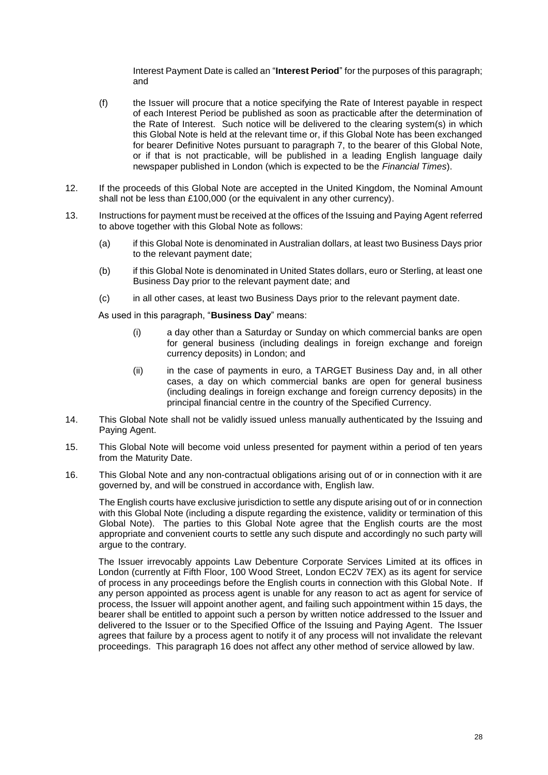Interest Payment Date is called an "**Interest Period**" for the purposes of this paragraph; and

- (f) the Issuer will procure that a notice specifying the Rate of Interest payable in respect of each Interest Period be published as soon as practicable after the determination of the Rate of Interest. Such notice will be delivered to the clearing system(s) in which this Global Note is held at the relevant time or, if this Global Note has been exchanged for bearer Definitive Notes pursuant to paragraph 7, to the bearer of this Global Note, or if that is not practicable, will be published in a leading English language daily newspaper published in London (which is expected to be the *Financial Times*).
- 12. If the proceeds of this Global Note are accepted in the United Kingdom, the Nominal Amount shall not be less than £100,000 (or the equivalent in any other currency).
- 13. Instructions for payment must be received at the offices of the Issuing and Paying Agent referred to above together with this Global Note as follows:
	- (a) if this Global Note is denominated in Australian dollars, at least two Business Days prior to the relevant payment date;
	- (b) if this Global Note is denominated in United States dollars, euro or Sterling, at least one Business Day prior to the relevant payment date; and
	- (c) in all other cases, at least two Business Days prior to the relevant payment date.

As used in this paragraph, "**Business Day**" means:

- (i) a day other than a Saturday or Sunday on which commercial banks are open for general business (including dealings in foreign exchange and foreign currency deposits) in London; and
- (ii) in the case of payments in euro, a TARGET Business Day and, in all other cases, a day on which commercial banks are open for general business (including dealings in foreign exchange and foreign currency deposits) in the principal financial centre in the country of the Specified Currency.
- 14. This Global Note shall not be validly issued unless manually authenticated by the Issuing and Paying Agent.
- 15. This Global Note will become void unless presented for payment within a period of ten years from the Maturity Date.
- 16. This Global Note and any non-contractual obligations arising out of or in connection with it are governed by, and will be construed in accordance with, English law.

The English courts have exclusive jurisdiction to settle any dispute arising out of or in connection with this Global Note (including a dispute regarding the existence, validity or termination of this Global Note). The parties to this Global Note agree that the English courts are the most appropriate and convenient courts to settle any such dispute and accordingly no such party will argue to the contrary.

The Issuer irrevocably appoints Law Debenture Corporate Services Limited at its offices in London (currently at Fifth Floor, 100 Wood Street, London EC2V 7EX) as its agent for service of process in any proceedings before the English courts in connection with this Global Note. If any person appointed as process agent is unable for any reason to act as agent for service of process, the Issuer will appoint another agent, and failing such appointment within 15 days, the bearer shall be entitled to appoint such a person by written notice addressed to the Issuer and delivered to the Issuer or to the Specified Office of the Issuing and Paying Agent. The Issuer agrees that failure by a process agent to notify it of any process will not invalidate the relevant proceedings. This paragraph 16 does not affect any other method of service allowed by law.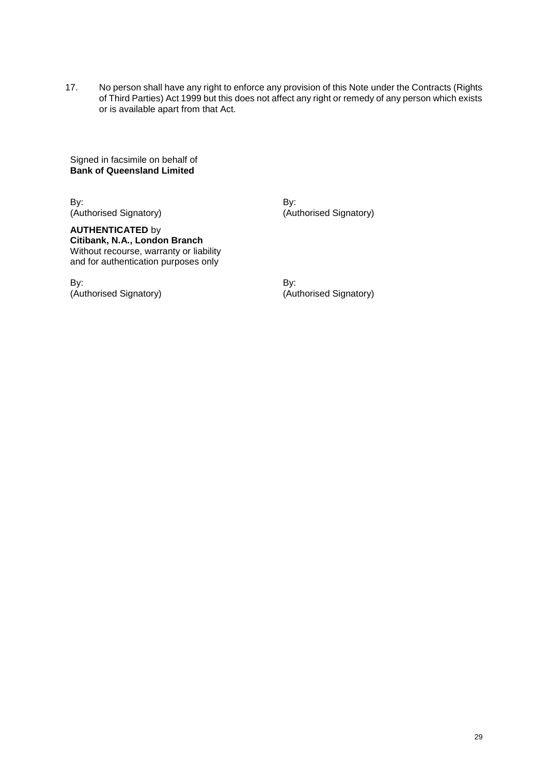17. No person shall have any right to enforce any provision of this Note under the Contracts (Rights of Third Parties) Act 1999 but this does not affect any right or remedy of any person which exists or is available apart from that Act.

Signed in facsimile on behalf of **Bank of Queensland Limited**

By: By: (Authorised Signatory) (Authorised Signatory)

**AUTHENTICATED** by **Citibank, N.A., London Branch** Without recourse, warranty or liability and for authentication purposes only

By: By: (Authorised Signatory) (Authorised Signatory)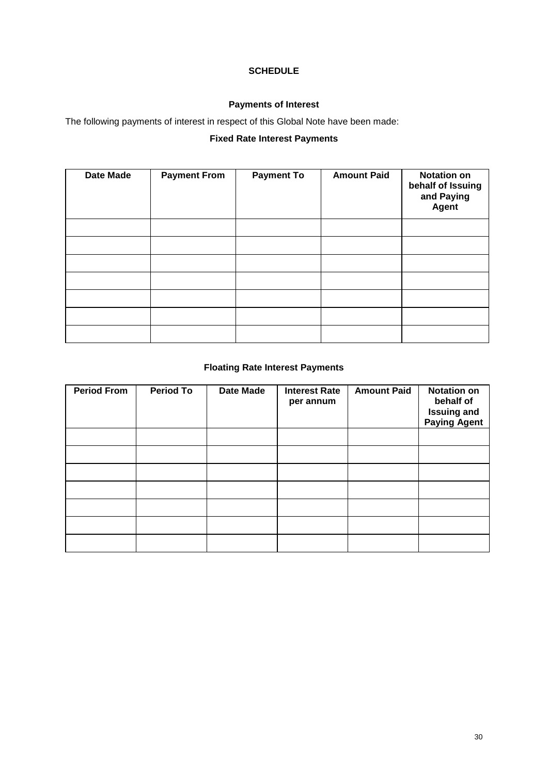## **SCHEDULE**

## **Payments of Interest**

The following payments of interest in respect of this Global Note have been made:

## **Fixed Rate Interest Payments**

| <b>Date Made</b> | <b>Payment From</b> | <b>Payment To</b> | <b>Amount Paid</b> | <b>Notation on</b><br>behalf of Issuing<br>and Paying<br>Agent |
|------------------|---------------------|-------------------|--------------------|----------------------------------------------------------------|
|                  |                     |                   |                    |                                                                |
|                  |                     |                   |                    |                                                                |
|                  |                     |                   |                    |                                                                |
|                  |                     |                   |                    |                                                                |
|                  |                     |                   |                    |                                                                |
|                  |                     |                   |                    |                                                                |
|                  |                     |                   |                    |                                                                |

## **Floating Rate Interest Payments**

| <b>Period From</b> | <b>Period To</b> | <b>Date Made</b> | <b>Interest Rate</b><br>per annum | <b>Amount Paid</b> | <b>Notation on</b><br>behalf of<br><b>Issuing and<br/>Paying Agent</b> |
|--------------------|------------------|------------------|-----------------------------------|--------------------|------------------------------------------------------------------------|
|                    |                  |                  |                                   |                    |                                                                        |
|                    |                  |                  |                                   |                    |                                                                        |
|                    |                  |                  |                                   |                    |                                                                        |
|                    |                  |                  |                                   |                    |                                                                        |
|                    |                  |                  |                                   |                    |                                                                        |
|                    |                  |                  |                                   |                    |                                                                        |
|                    |                  |                  |                                   |                    |                                                                        |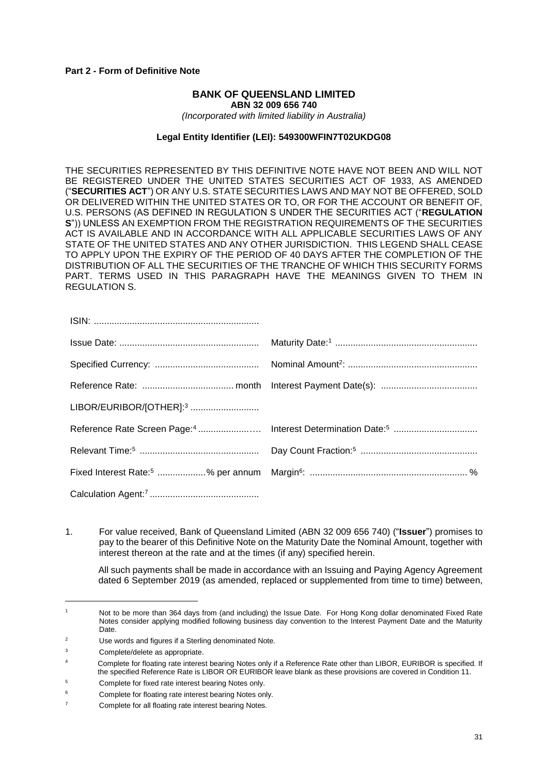#### **Part 2 - Form of Definitive Note**

#### **BANK OF QUEENSLAND LIMITED ABN 32 009 656 740**

*(Incorporated with limited liability in Australia)*

#### **Legal Entity Identifier (LEI): 549300WFIN7T02UKDG08**

THE SECURITIES REPRESENTED BY THIS DEFINITIVE NOTE HAVE NOT BEEN AND WILL NOT BE REGISTERED UNDER THE UNITED STATES SECURITIES ACT OF 1933, AS AMENDED ("**SECURITIES ACT**") OR ANY U.S. STATE SECURITIES LAWS AND MAY NOT BE OFFERED, SOLD OR DELIVERED WITHIN THE UNITED STATES OR TO, OR FOR THE ACCOUNT OR BENEFIT OF, U.S. PERSONS (AS DEFINED IN REGULATION S UNDER THE SECURITIES ACT ("**REGULATION S**")) UNLESS AN EXEMPTION FROM THE REGISTRATION REQUIREMENTS OF THE SECURITIES ACT IS AVAILABLE AND IN ACCORDANCE WITH ALL APPLICABLE SECURITIES LAWS OF ANY STATE OF THE UNITED STATES AND ANY OTHER JURISDICTION. THIS LEGEND SHALL CEASE TO APPLY UPON THE EXPIRY OF THE PERIOD OF 40 DAYS AFTER THE COMPLETION OF THE DISTRIBUTION OF ALL THE SECURITIES OF THE TRANCHE OF WHICH THIS SECURITY FORMS PART. TERMS USED IN THIS PARAGRAPH HAVE THE MEANINGS GIVEN TO THEM IN REGULATION S.

| LIBOR/EURIBOR/[OTHER]: <sup>3</sup> |  |
|-------------------------------------|--|
|                                     |  |
|                                     |  |
|                                     |  |
|                                     |  |

1. For value received, Bank of Queensland Limited (ABN 32 009 656 740) ("**Issuer**") promises to pay to the bearer of this Definitive Note on the Maturity Date the Nominal Amount, together with interest thereon at the rate and at the times (if any) specified herein.

All such payments shall be made in accordance with an Issuing and Paying Agency Agreement dated 6 September 2019 (as amended, replaced or supplemented from time to time) between,

<sup>1</sup> Not to be more than 364 days from (and including) the Issue Date. For Hong Kong dollar denominated Fixed Rate Notes consider applying modified following business day convention to the Interest Payment Date and the Maturity Date.

<sup>2</sup> Use words and figures if a Sterling denominated Note.

<sup>3</sup> Complete/delete as appropriate.

Complete for floating rate interest bearing Notes only if a Reference Rate other than LIBOR, EURIBOR is specified. If the specified Reference Rate is LIBOR OR EURIBOR leave blank as these provisions are covered in Condition 11.

<sup>5</sup> Complete for fixed rate interest bearing Notes only.

Complete for floating rate interest bearing Notes only.

<sup>7</sup> Complete for all floating rate interest bearing Notes.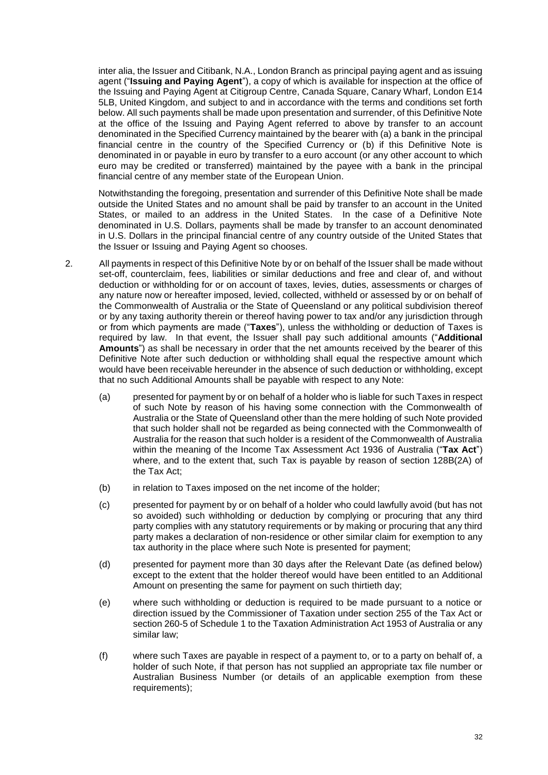inter alia, the Issuer and Citibank, N.A., London Branch as principal paying agent and as issuing agent ("**Issuing and Paying Agent**"), a copy of which is available for inspection at the office of the Issuing and Paying Agent at Citigroup Centre, Canada Square, Canary Wharf, London E14 5LB, United Kingdom, and subject to and in accordance with the terms and conditions set forth below. All such payments shall be made upon presentation and surrender, of this Definitive Note at the office of the Issuing and Paying Agent referred to above by transfer to an account denominated in the Specified Currency maintained by the bearer with (a) a bank in the principal financial centre in the country of the Specified Currency or (b) if this Definitive Note is denominated in or payable in euro by transfer to a euro account (or any other account to which euro may be credited or transferred) maintained by the payee with a bank in the principal financial centre of any member state of the European Union.

Notwithstanding the foregoing, presentation and surrender of this Definitive Note shall be made outside the United States and no amount shall be paid by transfer to an account in the United States, or mailed to an address in the United States. In the case of a Definitive Note denominated in U.S. Dollars, payments shall be made by transfer to an account denominated in U.S. Dollars in the principal financial centre of any country outside of the United States that the Issuer or Issuing and Paying Agent so chooses.

- 2. All payments in respect of this Definitive Note by or on behalf of the Issuer shall be made without set-off, counterclaim, fees, liabilities or similar deductions and free and clear of, and without deduction or withholding for or on account of taxes, levies, duties, assessments or charges of any nature now or hereafter imposed, levied, collected, withheld or assessed by or on behalf of the Commonwealth of Australia or the State of Queensland or any political subdivision thereof or by any taxing authority therein or thereof having power to tax and/or any jurisdiction through or from which payments are made ("**Taxes**"), unless the withholding or deduction of Taxes is required by law. In that event, the Issuer shall pay such additional amounts ("**Additional Amounts**") as shall be necessary in order that the net amounts received by the bearer of this Definitive Note after such deduction or withholding shall equal the respective amount which would have been receivable hereunder in the absence of such deduction or withholding, except that no such Additional Amounts shall be payable with respect to any Note:
	- (a) presented for payment by or on behalf of a holder who is liable for such Taxes in respect of such Note by reason of his having some connection with the Commonwealth of Australia or the State of Queensland other than the mere holding of such Note provided that such holder shall not be regarded as being connected with the Commonwealth of Australia for the reason that such holder is a resident of the Commonwealth of Australia within the meaning of the Income Tax Assessment Act 1936 of Australia ("**Tax Act**") where, and to the extent that, such Tax is payable by reason of section 128B(2A) of the Tax Act;
	- (b) in relation to Taxes imposed on the net income of the holder;
	- (c) presented for payment by or on behalf of a holder who could lawfully avoid (but has not so avoided) such withholding or deduction by complying or procuring that any third party complies with any statutory requirements or by making or procuring that any third party makes a declaration of non-residence or other similar claim for exemption to any tax authority in the place where such Note is presented for payment;
	- (d) presented for payment more than 30 days after the Relevant Date (as defined below) except to the extent that the holder thereof would have been entitled to an Additional Amount on presenting the same for payment on such thirtieth day;
	- (e) where such withholding or deduction is required to be made pursuant to a notice or direction issued by the Commissioner of Taxation under section 255 of the Tax Act or section 260-5 of Schedule 1 to the Taxation Administration Act 1953 of Australia or any similar law;
	- (f) where such Taxes are payable in respect of a payment to, or to a party on behalf of, a holder of such Note, if that person has not supplied an appropriate tax file number or Australian Business Number (or details of an applicable exemption from these requirements);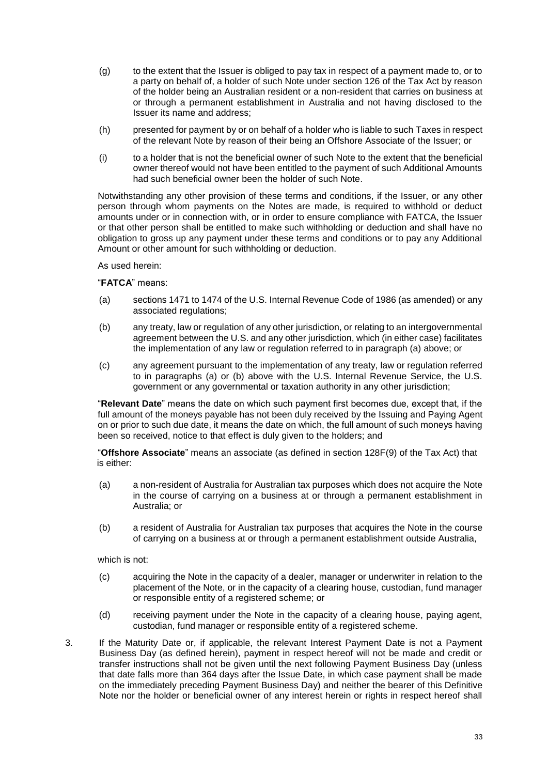- (g) to the extent that the Issuer is obliged to pay tax in respect of a payment made to, or to a party on behalf of, a holder of such Note under section 126 of the Tax Act by reason of the holder being an Australian resident or a non-resident that carries on business at or through a permanent establishment in Australia and not having disclosed to the Issuer its name and address;
- (h) presented for payment by or on behalf of a holder who is liable to such Taxes in respect of the relevant Note by reason of their being an Offshore Associate of the Issuer; or
- (i) to a holder that is not the beneficial owner of such Note to the extent that the beneficial owner thereof would not have been entitled to the payment of such Additional Amounts had such beneficial owner been the holder of such Note.

Notwithstanding any other provision of these terms and conditions, if the Issuer, or any other person through whom payments on the Notes are made, is required to withhold or deduct amounts under or in connection with, or in order to ensure compliance with FATCA, the Issuer or that other person shall be entitled to make such withholding or deduction and shall have no obligation to gross up any payment under these terms and conditions or to pay any Additional Amount or other amount for such withholding or deduction.

As used herein:

#### "**FATCA**" means:

- (a) sections 1471 to 1474 of the U.S. Internal Revenue Code of 1986 (as amended) or any associated regulations;
- (b) any treaty, law or regulation of any other jurisdiction, or relating to an intergovernmental agreement between the U.S. and any other jurisdiction, which (in either case) facilitates the implementation of any law or regulation referred to in paragraph (a) above; or
- (c) any agreement pursuant to the implementation of any treaty, law or regulation referred to in paragraphs (a) or (b) above with the U.S. Internal Revenue Service, the U.S. government or any governmental or taxation authority in any other jurisdiction;

"**Relevant Date**" means the date on which such payment first becomes due, except that, if the full amount of the moneys payable has not been duly received by the Issuing and Paying Agent on or prior to such due date, it means the date on which, the full amount of such moneys having been so received, notice to that effect is duly given to the holders; and

"**Offshore Associate**" means an associate (as defined in section 128F(9) of the Tax Act) that is either:

- (a) a non-resident of Australia for Australian tax purposes which does not acquire the Note in the course of carrying on a business at or through a permanent establishment in Australia; or
- (b) a resident of Australia for Australian tax purposes that acquires the Note in the course of carrying on a business at or through a permanent establishment outside Australia,

which is not:

- (c) acquiring the Note in the capacity of a dealer, manager or underwriter in relation to the placement of the Note, or in the capacity of a clearing house, custodian, fund manager or responsible entity of a registered scheme; or
- (d) receiving payment under the Note in the capacity of a clearing house, paying agent, custodian, fund manager or responsible entity of a registered scheme.
- 3. If the Maturity Date or, if applicable, the relevant Interest Payment Date is not a Payment Business Day (as defined herein), payment in respect hereof will not be made and credit or transfer instructions shall not be given until the next following Payment Business Day (unless that date falls more than 364 days after the Issue Date, in which case payment shall be made on the immediately preceding Payment Business Day) and neither the bearer of this Definitive Note nor the holder or beneficial owner of any interest herein or rights in respect hereof shall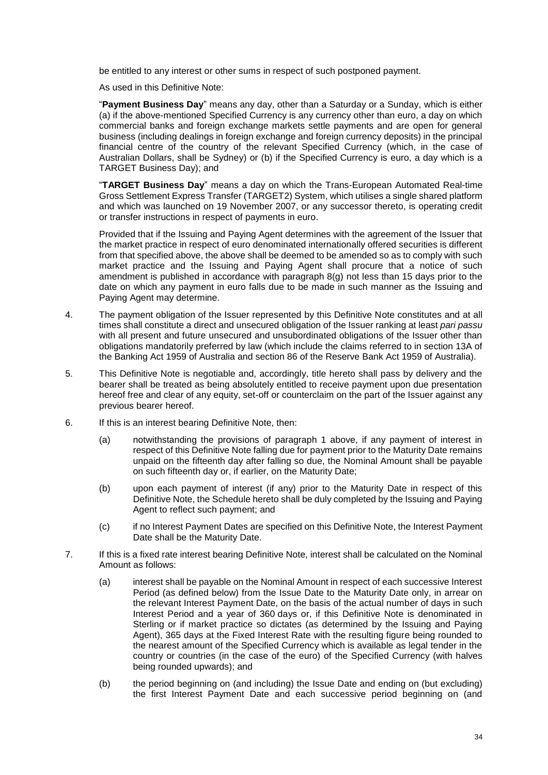be entitled to any interest or other sums in respect of such postponed payment.

As used in this Definitive Note:

"**Payment Business Day**" means any day, other than a Saturday or a Sunday, which is either (a) if the above-mentioned Specified Currency is any currency other than euro, a day on which commercial banks and foreign exchange markets settle payments and are open for general business (including dealings in foreign exchange and foreign currency deposits) in the principal financial centre of the country of the relevant Specified Currency (which, in the case of Australian Dollars, shall be Sydney) or (b) if the Specified Currency is euro, a day which is a TARGET Business Day); and

"**TARGET Business Day**" means a day on which the Trans-European Automated Real-time Gross Settlement Express Transfer (TARGET2) System, which utilises a single shared platform and which was launched on 19 November 2007, or any successor thereto, is operating credit or transfer instructions in respect of payments in euro.

Provided that if the Issuing and Paying Agent determines with the agreement of the Issuer that the market practice in respect of euro denominated internationally offered securities is different from that specified above, the above shall be deemed to be amended so as to comply with such market practice and the Issuing and Paying Agent shall procure that a notice of such amendment is published in accordance with paragraph 8(g) not less than 15 days prior to the date on which any payment in euro falls due to be made in such manner as the Issuing and Paying Agent may determine.

- 4. The payment obligation of the Issuer represented by this Definitive Note constitutes and at all times shall constitute a direct and unsecured obligation of the Issuer ranking at least *pari passu* with all present and future unsecured and unsubordinated obligations of the Issuer other than obligations mandatorily preferred by law (which include the claims referred to in section 13A of the Banking Act 1959 of Australia and section 86 of the Reserve Bank Act 1959 of Australia).
- 5. This Definitive Note is negotiable and, accordingly, title hereto shall pass by delivery and the bearer shall be treated as being absolutely entitled to receive payment upon due presentation hereof free and clear of any equity, set-off or counterclaim on the part of the Issuer against any previous bearer hereof.
- 6. If this is an interest bearing Definitive Note, then:
	- (a) notwithstanding the provisions of paragraph 1 above, if any payment of interest in respect of this Definitive Note falling due for payment prior to the Maturity Date remains unpaid on the fifteenth day after falling so due, the Nominal Amount shall be payable on such fifteenth day or, if earlier, on the Maturity Date;
	- (b) upon each payment of interest (if any) prior to the Maturity Date in respect of this Definitive Note, the Schedule hereto shall be duly completed by the Issuing and Paying Agent to reflect such payment; and
	- (c) if no Interest Payment Dates are specified on this Definitive Note, the Interest Payment Date shall be the Maturity Date.
- 7. If this is a fixed rate interest bearing Definitive Note, interest shall be calculated on the Nominal Amount as follows:
	- (a) interest shall be payable on the Nominal Amount in respect of each successive Interest Period (as defined below) from the Issue Date to the Maturity Date only, in arrear on the relevant Interest Payment Date, on the basis of the actual number of days in such Interest Period and a year of 360 days or, if this Definitive Note is denominated in Sterling or if market practice so dictates (as determined by the Issuing and Paying Agent), 365 days at the Fixed Interest Rate with the resulting figure being rounded to the nearest amount of the Specified Currency which is available as legal tender in the country or countries (in the case of the euro) of the Specified Currency (with halves being rounded upwards); and
	- (b) the period beginning on (and including) the Issue Date and ending on (but excluding) the first Interest Payment Date and each successive period beginning on (and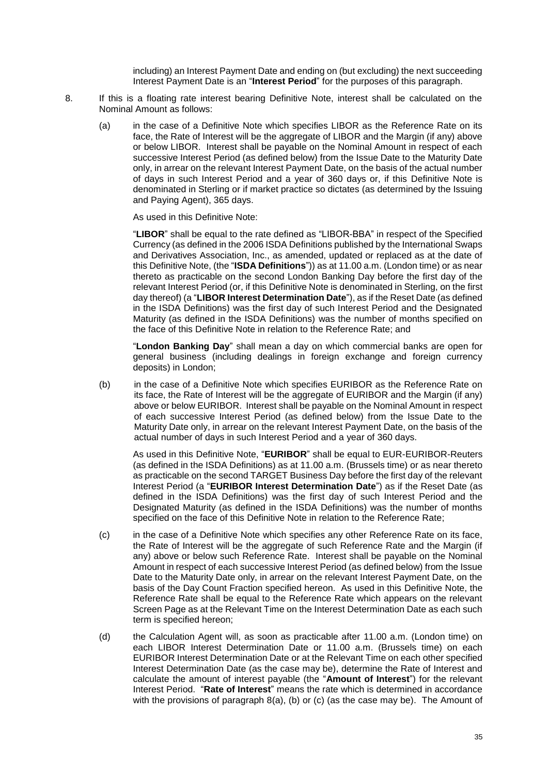including) an Interest Payment Date and ending on (but excluding) the next succeeding Interest Payment Date is an "**Interest Period**" for the purposes of this paragraph.

- 8. If this is a floating rate interest bearing Definitive Note, interest shall be calculated on the Nominal Amount as follows:
	- (a) in the case of a Definitive Note which specifies LIBOR as the Reference Rate on its face, the Rate of Interest will be the aggregate of LIBOR and the Margin (if any) above or below LIBOR. Interest shall be payable on the Nominal Amount in respect of each successive Interest Period (as defined below) from the Issue Date to the Maturity Date only, in arrear on the relevant Interest Payment Date, on the basis of the actual number of days in such Interest Period and a year of 360 days or, if this Definitive Note is denominated in Sterling or if market practice so dictates (as determined by the Issuing and Paying Agent), 365 days.

As used in this Definitive Note:

"**LIBOR**" shall be equal to the rate defined as "LIBOR-BBA" in respect of the Specified Currency (as defined in the 2006 ISDA Definitions published by the International Swaps and Derivatives Association, Inc., as amended, updated or replaced as at the date of this Definitive Note, (the "**ISDA Definitions**")) as at 11.00 a.m. (London time) or as near thereto as practicable on the second London Banking Day before the first day of the relevant Interest Period (or, if this Definitive Note is denominated in Sterling, on the first day thereof) (a "**LIBOR Interest Determination Date**"), as if the Reset Date (as defined in the ISDA Definitions) was the first day of such Interest Period and the Designated Maturity (as defined in the ISDA Definitions) was the number of months specified on the face of this Definitive Note in relation to the Reference Rate; and

"**London Banking Day**" shall mean a day on which commercial banks are open for general business (including dealings in foreign exchange and foreign currency deposits) in London;

(b) in the case of a Definitive Note which specifies EURIBOR as the Reference Rate on its face, the Rate of Interest will be the aggregate of EURIBOR and the Margin (if any) above or below EURIBOR. Interest shall be payable on the Nominal Amount in respect of each successive Interest Period (as defined below) from the Issue Date to the Maturity Date only, in arrear on the relevant Interest Payment Date, on the basis of the actual number of days in such Interest Period and a year of 360 days.

As used in this Definitive Note, "**EURIBOR**" shall be equal to EUR-EURIBOR-Reuters (as defined in the ISDA Definitions) as at 11.00 a.m. (Brussels time) or as near thereto as practicable on the second TARGET Business Day before the first day of the relevant Interest Period (a "**EURIBOR Interest Determination Date**") as if the Reset Date (as defined in the ISDA Definitions) was the first day of such Interest Period and the Designated Maturity (as defined in the ISDA Definitions) was the number of months specified on the face of this Definitive Note in relation to the Reference Rate;

- (c) in the case of a Definitive Note which specifies any other Reference Rate on its face, the Rate of Interest will be the aggregate of such Reference Rate and the Margin (if any) above or below such Reference Rate. Interest shall be payable on the Nominal Amount in respect of each successive Interest Period (as defined below) from the Issue Date to the Maturity Date only, in arrear on the relevant Interest Payment Date, on the basis of the Day Count Fraction specified hereon. As used in this Definitive Note, the Reference Rate shall be equal to the Reference Rate which appears on the relevant Screen Page as at the Relevant Time on the Interest Determination Date as each such term is specified hereon;
- (d) the Calculation Agent will, as soon as practicable after 11.00 a.m. (London time) on each LIBOR Interest Determination Date or 11.00 a.m. (Brussels time) on each EURIBOR Interest Determination Date or at the Relevant Time on each other specified Interest Determination Date (as the case may be), determine the Rate of Interest and calculate the amount of interest payable (the "**Amount of Interest**") for the relevant Interest Period. "**Rate of Interest**" means the rate which is determined in accordance with the provisions of paragraph  $8(a)$ , (b) or (c) (as the case may be). The Amount of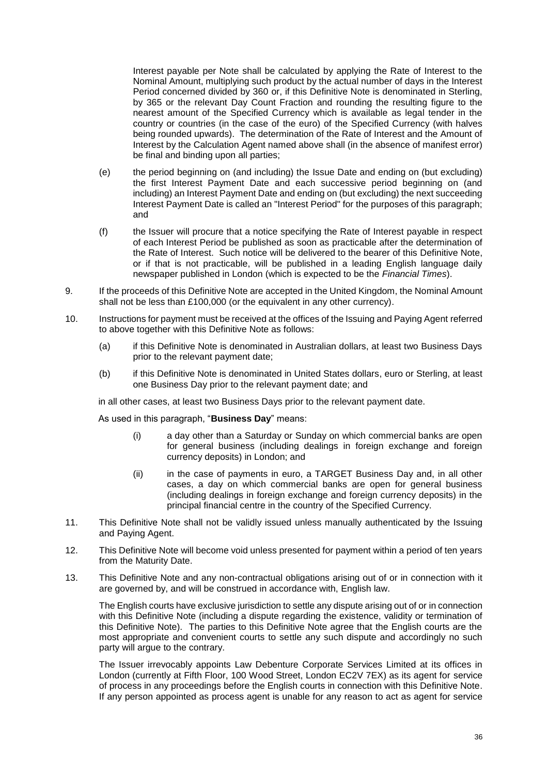Interest payable per Note shall be calculated by applying the Rate of Interest to the Nominal Amount, multiplying such product by the actual number of days in the Interest Period concerned divided by 360 or, if this Definitive Note is denominated in Sterling, by 365 or the relevant Day Count Fraction and rounding the resulting figure to the nearest amount of the Specified Currency which is available as legal tender in the country or countries (in the case of the euro) of the Specified Currency (with halves being rounded upwards). The determination of the Rate of Interest and the Amount of Interest by the Calculation Agent named above shall (in the absence of manifest error) be final and binding upon all parties;

- (e) the period beginning on (and including) the Issue Date and ending on (but excluding) the first Interest Payment Date and each successive period beginning on (and including) an Interest Payment Date and ending on (but excluding) the next succeeding Interest Payment Date is called an "Interest Period" for the purposes of this paragraph; and
- (f) the Issuer will procure that a notice specifying the Rate of Interest payable in respect of each Interest Period be published as soon as practicable after the determination of the Rate of Interest. Such notice will be delivered to the bearer of this Definitive Note, or if that is not practicable, will be published in a leading English language daily newspaper published in London (which is expected to be the *Financial Times*).
- 9. If the proceeds of this Definitive Note are accepted in the United Kingdom, the Nominal Amount shall not be less than £100,000 (or the equivalent in any other currency).
- 10. Instructions for payment must be received at the offices of the Issuing and Paying Agent referred to above together with this Definitive Note as follows:
	- (a) if this Definitive Note is denominated in Australian dollars, at least two Business Days prior to the relevant payment date;
	- (b) if this Definitive Note is denominated in United States dollars, euro or Sterling, at least one Business Day prior to the relevant payment date; and

in all other cases, at least two Business Days prior to the relevant payment date.

As used in this paragraph, "**Business Day**" means:

- (i) a day other than a Saturday or Sunday on which commercial banks are open for general business (including dealings in foreign exchange and foreign currency deposits) in London; and
- (ii) in the case of payments in euro, a TARGET Business Day and, in all other cases, a day on which commercial banks are open for general business (including dealings in foreign exchange and foreign currency deposits) in the principal financial centre in the country of the Specified Currency.
- 11. This Definitive Note shall not be validly issued unless manually authenticated by the Issuing and Paying Agent.
- 12. This Definitive Note will become void unless presented for payment within a period of ten years from the Maturity Date.
- 13. This Definitive Note and any non-contractual obligations arising out of or in connection with it are governed by, and will be construed in accordance with, English law.

The English courts have exclusive jurisdiction to settle any dispute arising out of or in connection with this Definitive Note (including a dispute regarding the existence, validity or termination of this Definitive Note). The parties to this Definitive Note agree that the English courts are the most appropriate and convenient courts to settle any such dispute and accordingly no such party will argue to the contrary.

The Issuer irrevocably appoints Law Debenture Corporate Services Limited at its offices in London (currently at Fifth Floor, 100 Wood Street, London EC2V 7EX) as its agent for service of process in any proceedings before the English courts in connection with this Definitive Note. If any person appointed as process agent is unable for any reason to act as agent for service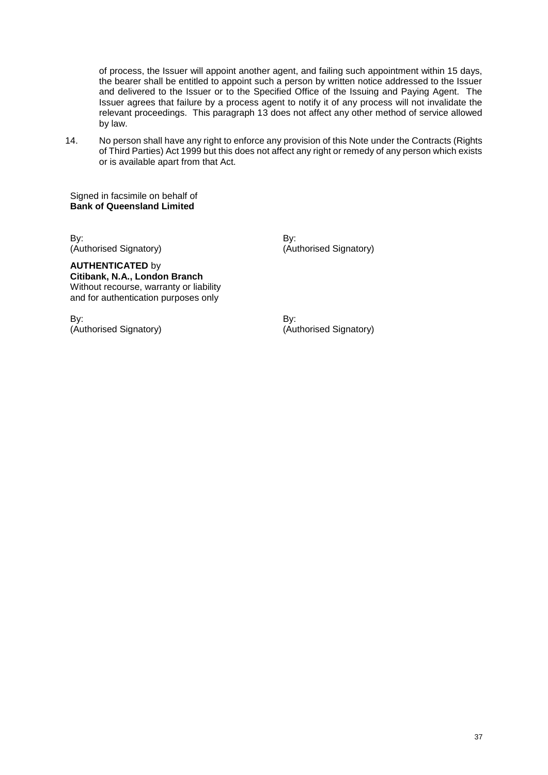of process, the Issuer will appoint another agent, and failing such appointment within 15 days, the bearer shall be entitled to appoint such a person by written notice addressed to the Issuer and delivered to the Issuer or to the Specified Office of the Issuing and Paying Agent. The Issuer agrees that failure by a process agent to notify it of any process will not invalidate the relevant proceedings. This paragraph 13 does not affect any other method of service allowed by law.

14. No person shall have any right to enforce any provision of this Note under the Contracts (Rights of Third Parties) Act 1999 but this does not affect any right or remedy of any person which exists or is available apart from that Act.

Signed in facsimile on behalf of **Bank of Queensland Limited**

By: By: (Authorised Signatory) (Authorised Signatory)

**AUTHENTICATED** by **Citibank, N.A., London Branch**  Without recourse, warranty or liability and for authentication purposes only

By: By: (Authorised Signatory) (Authorised Signatory)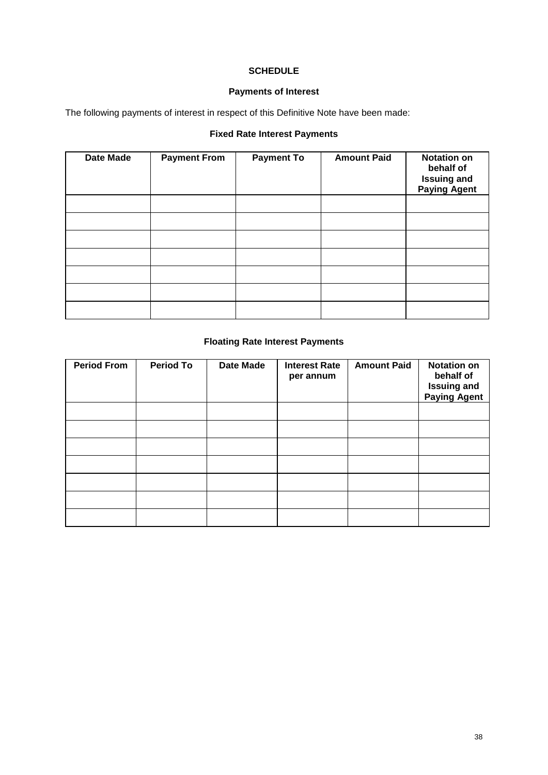## **SCHEDULE**

## **Payments of Interest**

The following payments of interest in respect of this Definitive Note have been made:

## **Fixed Rate Interest Payments**

| <b>Date Made</b> | <b>Payment From</b> | <b>Payment To</b> | <b>Amount Paid</b> | <b>Notation on</b><br>behalf of<br><b>Issuing and</b><br><b>Paying Agent</b> |
|------------------|---------------------|-------------------|--------------------|------------------------------------------------------------------------------|
|                  |                     |                   |                    |                                                                              |
|                  |                     |                   |                    |                                                                              |
|                  |                     |                   |                    |                                                                              |
|                  |                     |                   |                    |                                                                              |
|                  |                     |                   |                    |                                                                              |
|                  |                     |                   |                    |                                                                              |
|                  |                     |                   |                    |                                                                              |

## **Floating Rate Interest Payments**

| <b>Period From</b> | <b>Period To</b> | <b>Date Made</b> | <b>Interest Rate</b><br>per annum | <b>Amount Paid</b> | <b>Notation on</b><br>behalf of<br><b>Issuing and<br/>Paying Agent</b> |
|--------------------|------------------|------------------|-----------------------------------|--------------------|------------------------------------------------------------------------|
|                    |                  |                  |                                   |                    |                                                                        |
|                    |                  |                  |                                   |                    |                                                                        |
|                    |                  |                  |                                   |                    |                                                                        |
|                    |                  |                  |                                   |                    |                                                                        |
|                    |                  |                  |                                   |                    |                                                                        |
|                    |                  |                  |                                   |                    |                                                                        |
|                    |                  |                  |                                   |                    |                                                                        |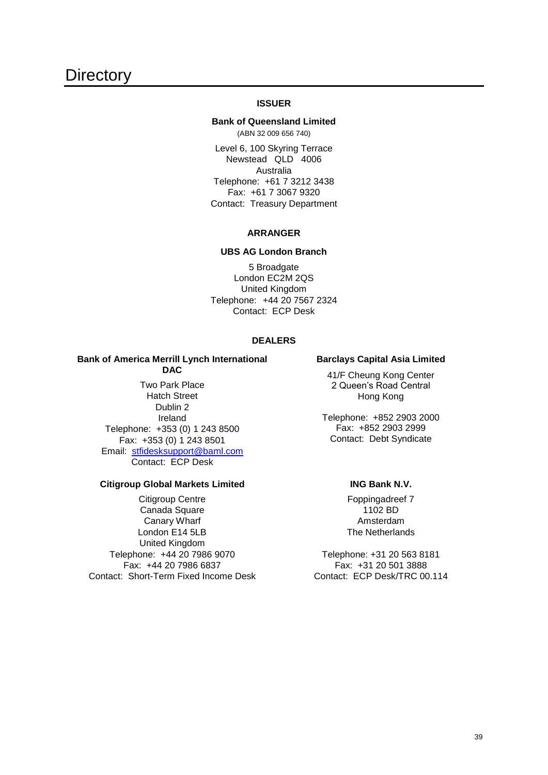#### **ISSUER**

#### <span id="page-39-0"></span>**Bank of Queensland Limited** (ABN 32 009 656 740)

Level 6, 100 Skyring Terrace Newstead QLD 4006 Australia Telephone: +61 7 3212 3438 Fax: +61 7 3067 9320 Contact: Treasury Department

#### **ARRANGER**

#### **UBS AG London Branch**

5 Broadgate London EC2M 2QS United Kingdom Telephone: +44 20 7567 2324 Contact: ECP Desk

#### **DEALERS**

#### **Bank of America Merrill Lynch International DAC**

Two Park Place Hatch Street Dublin 2 Ireland Telephone: +353 (0) 1 243 8500 Fax: +353 (0) 1 243 8501 Email: [stfidesksupport@baml.com](mailto:stfidesksupport@baml.com) Contact: ECP Desk

#### **Citigroup Global Markets Limited**

Citigroup Centre Canada Square Canary Wharf London E14 5LB United Kingdom Telephone: +44 20 7986 9070 Fax: +44 20 7986 6837 Contact: Short-Term Fixed Income Desk

#### **Barclays Capital Asia Limited**

41/F Cheung Kong Center 2 Queen's Road Central Hong Kong

Telephone: +852 2903 2000 Fax: +852 2903 2999 Contact: Debt Syndicate

#### **ING Bank N.V.**

Foppingadreef 7 1102 BD Amsterdam The Netherlands

Telephone: +31 20 563 8181 Fax: +31 20 501 3888 Contact: ECP Desk/TRC 00.114